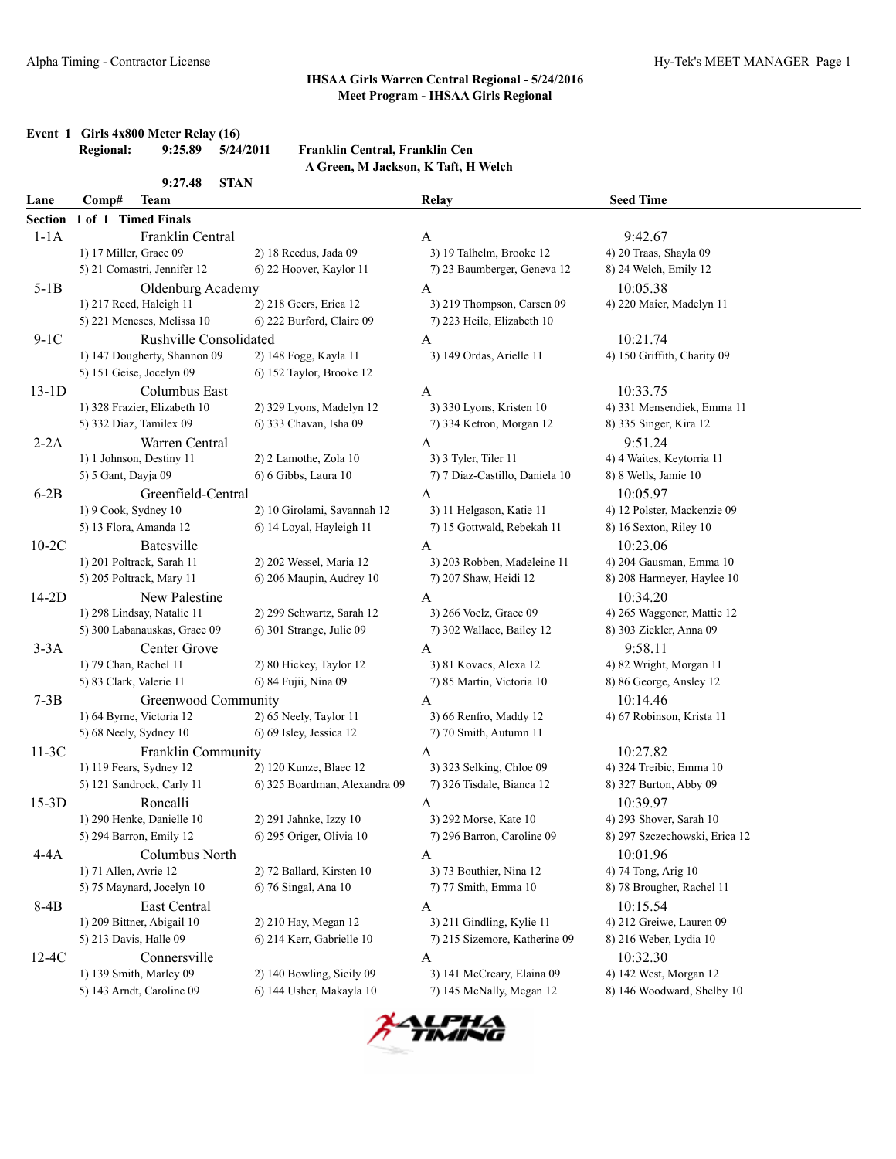## **Event 1 Girls 4x800 Meter Relay (16)**<br>Regional: 9:25.89 5/24/2011

#### **Regional: 9:25.89 5/24/2011 Franklin Central, Franklin Cen A Green, M Jackson, K Taft, H Welch**

|         | 9:27.48<br><b>STAN</b>       |                               |                                |                               |
|---------|------------------------------|-------------------------------|--------------------------------|-------------------------------|
| Lane    | <b>Team</b><br>Comp#         |                               | Relay                          | <b>Seed Time</b>              |
| Section | 1 of 1 Timed Finals          |                               |                                |                               |
| $1-1A$  | Franklin Central             |                               | A                              | 9:42.67                       |
|         | 1) 17 Miller, Grace 09       | 2) 18 Reedus, Jada 09         | 3) 19 Talhelm, Brooke 12       | 4) 20 Traas, Shayla 09        |
|         | 5) 21 Comastri, Jennifer 12  | 6) 22 Hoover, Kaylor 11       | 7) 23 Baumberger, Geneva 12    | 8) 24 Welch, Emily 12         |
| $5-1B$  | Oldenburg Academy            |                               | A                              | 10:05.38                      |
|         | 1) 217 Reed, Haleigh 11      | 2) 218 Geers, Erica 12        | 3) 219 Thompson, Carsen 09     | 4) 220 Maier, Madelyn 11      |
|         | 5) 221 Meneses, Melissa 10   | 6) 222 Burford, Claire 09     | 7) 223 Heile, Elizabeth 10     |                               |
| $9-1C$  | Rushville Consolidated       |                               | A                              | 10:21.74                      |
|         | 1) 147 Dougherty, Shannon 09 | 2) 148 Fogg, Kayla 11         | 3) 149 Ordas, Arielle 11       | 4) 150 Griffith, Charity 09   |
|         | 5) 151 Geise, Jocelyn 09     | 6) 152 Taylor, Brooke 12      |                                |                               |
| $13-1D$ | Columbus East                |                               | A                              | 10:33.75                      |
|         | 1) 328 Frazier, Elizabeth 10 | 2) 329 Lyons, Madelyn 12      | 3) 330 Lyons, Kristen 10       | 4) 331 Mensendiek, Emma 11    |
|         | 5) 332 Diaz, Tamilex 09      | 6) 333 Chavan, Isha 09        | 7) 334 Ketron, Morgan 12       | 8) 335 Singer, Kira 12        |
| $2-2A$  | Warren Central               |                               | A                              | 9:51.24                       |
|         | 1) 1 Johnson, Destiny 11     | 2) 2 Lamothe, Zola 10         | 3) 3 Tyler, Tiler 11           | 4) 4 Waites, Keytorria 11     |
|         | 5) 5 Gant, Dayja 09          | 6) 6 Gibbs, Laura 10          | 7) 7 Diaz-Castillo, Daniela 10 | 8) 8 Wells, Jamie 10          |
| $6-2B$  | Greenfield-Central           |                               | A                              | 10:05.97                      |
|         | 1) 9 Cook, Sydney 10         | 2) 10 Girolami, Savannah 12   | 3) 11 Helgason, Katie 11       | 4) 12 Polster, Mackenzie 09   |
|         | 5) 13 Flora, Amanda 12       | 6) 14 Loyal, Hayleigh 11      | 7) 15 Gottwald, Rebekah 11     | 8) 16 Sexton, Riley 10        |
| $10-2C$ | Batesville                   |                               | A                              | 10:23.06                      |
|         | 1) 201 Poltrack, Sarah 11    | 2) 202 Wessel, Maria 12       | 3) 203 Robben, Madeleine 11    | 4) 204 Gausman, Emma 10       |
|         | 5) 205 Poltrack, Mary 11     | 6) 206 Maupin, Audrey 10      | 7) 207 Shaw, Heidi 12          | 8) 208 Harmeyer, Haylee 10    |
| $14-2D$ | New Palestine                |                               | A                              | 10:34.20                      |
|         | 1) 298 Lindsay, Natalie 11   | 2) 299 Schwartz, Sarah 12     | 3) 266 Voelz, Grace 09         | 4) 265 Waggoner, Mattie 12    |
|         | 5) 300 Labanauskas, Grace 09 | 6) 301 Strange, Julie 09      | 7) 302 Wallace, Bailey 12      | 8) 303 Zickler, Anna 09       |
| $3-3A$  | Center Grove                 |                               | A                              | 9:58.11                       |
|         | 1) 79 Chan, Rachel 11        | 2) 80 Hickey, Taylor 12       | 3) 81 Kovacs, Alexa 12         | 4) 82 Wright, Morgan 11       |
|         | 5) 83 Clark, Valerie 11      | 6) 84 Fujii, Nina 09          | 7) 85 Martin, Victoria 10      | 8) 86 George, Ansley 12       |
| $7-3B$  | Greenwood Community          |                               | Α                              | 10:14.46                      |
|         | 1) 64 Byrne, Victoria 12     | 2) 65 Neely, Taylor 11        | 3) 66 Renfro, Maddy 12         | 4) 67 Robinson, Krista 11     |
|         | 5) 68 Neely, Sydney 10       | 6) 69 Isley, Jessica 12       | 7) 70 Smith, Autumn 11         |                               |
| $11-3C$ | Franklin Community           |                               | A                              | 10:27.82                      |
|         | 1) 119 Fears, Sydney 12      | 2) 120 Kunze, Blaec 12        | 3) 323 Selking, Chloe 09       | 4) 324 Treibic, Emma 10       |
|         | 5) 121 Sandrock, Carly 11    | 6) 325 Boardman, Alexandra 09 | 7) 326 Tisdale, Bianca 12      | 8) 327 Burton, Abby 09        |
| $15-3D$ | Roncalli                     |                               | A                              | 10:39.97                      |
|         | 1) 290 Henke, Danielle 10    | 2) 291 Jahnke, Izzy 10        | 3) 292 Morse, Kate 10          | 4) 293 Shover, Sarah 10       |
|         | 5) 294 Barron, Emily 12      | 6) 295 Origer, Olivia 10      | 7) 296 Barron, Caroline 09     | 8) 297 Szczechowski, Erica 12 |
| $4-4A$  | Columbus North               |                               | A                              | 10:01.96                      |
|         | 1) 71 Allen, Avrie 12        | 2) 72 Ballard, Kirsten 10     | 3) 73 Bouthier, Nina 12        | 4) 74 Tong, Arig 10           |
|         | 5) 75 Maynard, Jocelyn 10    | 6) 76 Singal, Ana 10          | 7) 77 Smith, Emma 10           | 8) 78 Brougher, Rachel 11     |
| 8-4B    | East Central                 |                               | A                              | 10:15.54                      |
|         | 1) 209 Bittner, Abigail 10   | 2) 210 Hay, Megan 12          | 3) 211 Gindling, Kylie 11      | 4) 212 Greiwe, Lauren 09      |
|         | 5) 213 Davis, Halle 09       | 6) 214 Kerr, Gabrielle 10     | 7) 215 Sizemore, Katherine 09  | 8) 216 Weber, Lydia 10        |
| $12-4C$ | Connersville                 |                               | A                              | 10:32.30                      |
|         | 1) 139 Smith, Marley 09      | 2) 140 Bowling, Sicily 09     | 3) 141 McCreary, Elaina 09     | 4) 142 West, Morgan 12        |
|         | 5) 143 Arndt, Caroline 09    | 6) 144 Usher, Makayla 10      | 7) 145 McNally, Megan 12       | 8) 146 Woodward, Shelby 10    |

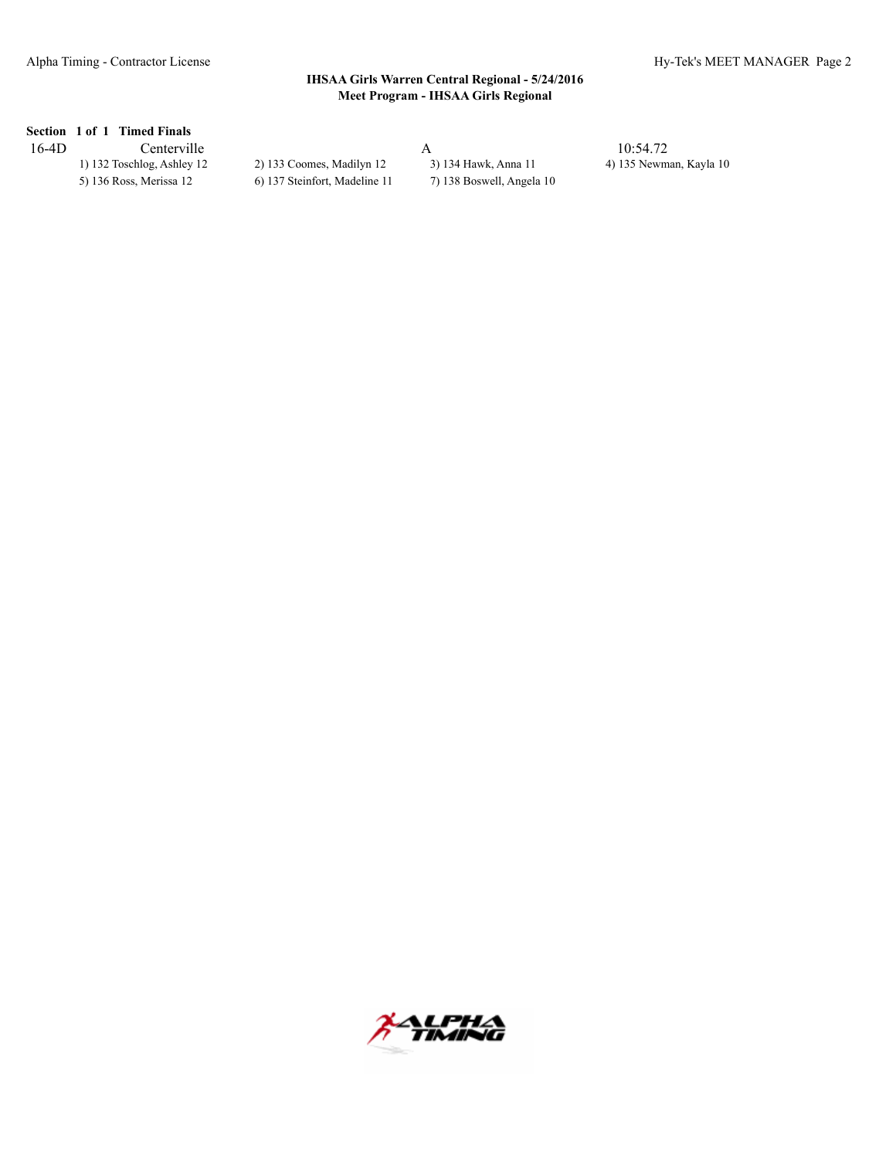### **Section 1 of 1 Timed Finals**

| $16-4D$ | Centerville                |                               |                           | 10:54.72                |
|---------|----------------------------|-------------------------------|---------------------------|-------------------------|
|         | 1) 132 Toschlog, Ashley 12 | 2) 133 Coomes, Madilyn 12     | 3) 134 Hawk, Anna 11      | 4) 135 Newman, Kayla 10 |
|         | 5) 136 Ross, Merissa 12    | 6) 137 Steinfort, Madeline 11 | 7) 138 Boswell, Angela 10 |                         |
|         |                            |                               |                           |                         |

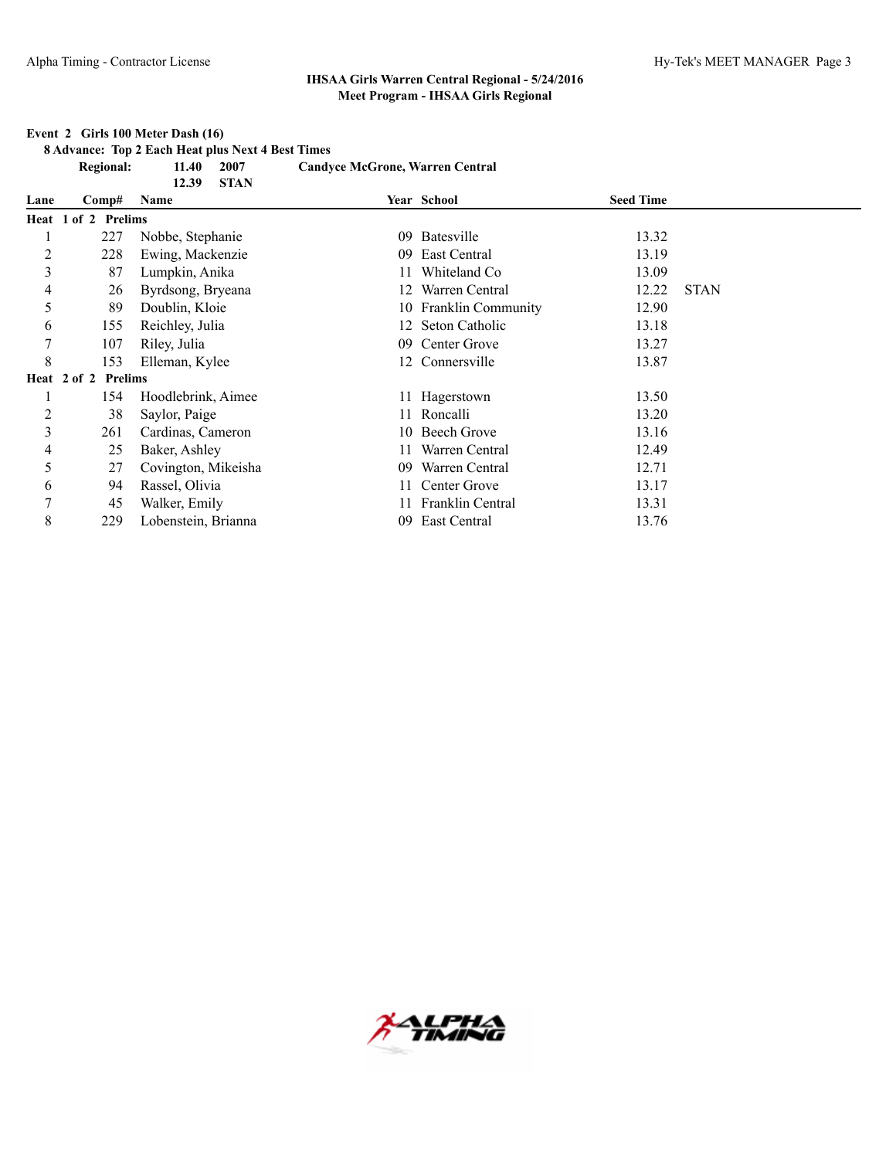#### **Event 2 Girls 100 Meter Dash (16)**

**8 Advance: Top 2 Each Heat plus Next 4 Best Times**

|                | <b>Regional:</b>    | 11.40<br>2007<br>12.39<br><b>STAN</b> | <b>Candyce McGrone, Warren Central</b> |                    |                  |             |
|----------------|---------------------|---------------------------------------|----------------------------------------|--------------------|------------------|-------------|
| Lane           | Comp#               | Name                                  |                                        | Year School        | <b>Seed Time</b> |             |
|                | Heat 1 of 2 Prelims |                                       |                                        |                    |                  |             |
|                | 227                 | Nobbe, Stephanie                      | 09                                     | Batesville         | 13.32            |             |
| $\overline{c}$ | 228                 | Ewing, Mackenzie                      | 09                                     | East Central       | 13.19            |             |
| 3              | 87                  | Lumpkin, Anika                        |                                        | Whiteland Co       | 13.09            |             |
| 4              | 26                  | Byrdsong, Bryeana                     | 12.                                    | Warren Central     | 12.22            | <b>STAN</b> |
| 5              | 89                  | Doublin, Kloie                        | 10                                     | Franklin Community | 12.90            |             |
| 6              | 155                 | Reichley, Julia                       | 12                                     | Seton Catholic     | 13.18            |             |
| 7              | 107                 | Riley, Julia                          | 09                                     | Center Grove       | 13.27            |             |
| 8              | 153                 | Elleman, Kylee                        |                                        | 12 Connersville    | 13.87            |             |
|                | Heat 2 of 2 Prelims |                                       |                                        |                    |                  |             |
|                | 154                 | Hoodlebrink, Aimee                    |                                        | 11 Hagerstown      | 13.50            |             |
| $\overline{c}$ | 38                  | Saylor, Paige                         |                                        | 11 Roncalli        | 13.20            |             |
| 3              | 261                 | Cardinas, Cameron                     |                                        | 10 Beech Grove     | 13.16            |             |
| 4              | 25                  | Baker, Ashley                         |                                        | Warren Central     | 12.49            |             |
| 5              | 27                  | Covington, Mikeisha                   | 09                                     | Warren Central     | 12.71            |             |
| 6              | 94                  | Rassel, Olivia                        | 11-                                    | Center Grove       | 13.17            |             |
| 7              | 45                  | Walker, Emily                         |                                        | Franklin Central   | 13.31            |             |
| 8              | 229                 | Lobenstein, Brianna                   | 09                                     | East Central       | 13.76            |             |

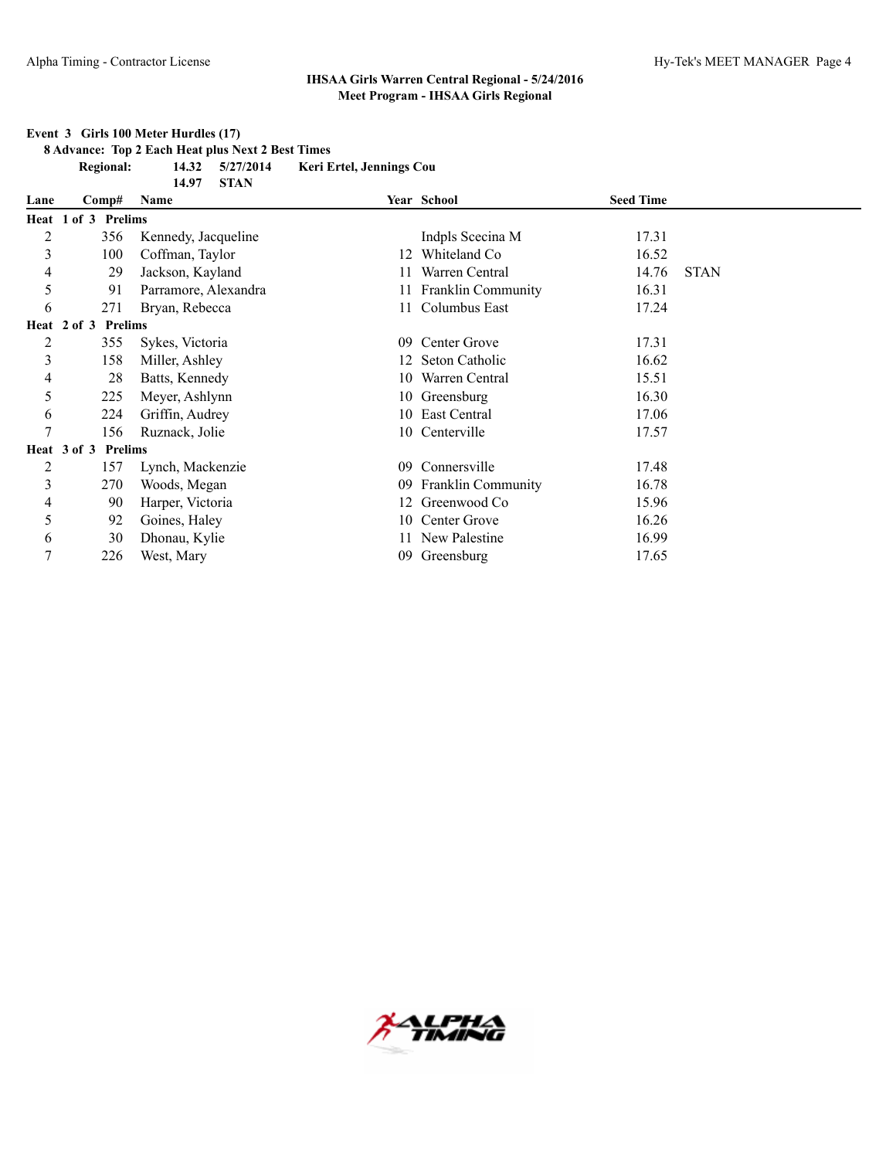#### **Event 3 Girls 100 Meter Hurdles (17)**

**8 Advance: Top 2 Each Heat plus Next 2 Best Times**

**Regional: 14.32 5/27/2014 Keri Ertel, Jennings Cou**

|                |                              | <b>STAN</b><br>14.97 |     |                           |                  |             |
|----------------|------------------------------|----------------------|-----|---------------------------|------------------|-------------|
| Lane           | Comp#                        | Name                 |     | Year School               | <b>Seed Time</b> |             |
|                | Heat 1 of 3 Prelims          |                      |     |                           |                  |             |
| 2              | 356                          | Kennedy, Jacqueline  |     | Indpls Scecina M          | 17.31            |             |
| 3              | 100                          | Coffman, Taylor      | 12  | Whiteland Co              | 16.52            |             |
| 4              | 29                           | Jackson, Kayland     |     | Warren Central            | 14.76            | <b>STAN</b> |
| 5              | 91                           | Parramore, Alexandra |     | 11 Franklin Community     | 16.31            |             |
| 6              | 271                          | Bryan, Rebecca       |     | 11 Columbus East          | 17.24            |             |
| Heat           | <b>Prelims</b><br>$2$ of $3$ |                      |     |                           |                  |             |
| $\overline{c}$ | 355                          | Sykes, Victoria      | 09  | Center Grove              | 17.31            |             |
| 3              | 158                          | Miller, Ashley       |     | 12 Seton Catholic         | 16.62            |             |
| 4              | 28                           | Batts, Kennedy       | 10  | Warren Central            | 15.51            |             |
| 5              | 225                          | Meyer, Ashlynn       |     | 10 Greensburg             | 16.30            |             |
| 6              | 224                          | Griffin, Audrey      |     | 10 East Central           | 17.06            |             |
| 7              | 156                          | Ruznack, Jolie       |     | 10 Centerville            | 17.57            |             |
|                | Heat 3 of 3<br>Prelims       |                      |     |                           |                  |             |
| $\overline{c}$ | 157                          | Lynch, Mackenzie     | 09  | Connersville              | 17.48            |             |
| 3              | 270                          | Woods, Megan         | 09  | <b>Franklin Community</b> | 16.78            |             |
| 4              | 90                           | Harper, Victoria     | 12. | Greenwood Co              | 15.96            |             |
| 5              | 92                           | Goines, Haley        | 10  | Center Grove              | 16.26            |             |
| 6              | 30                           | Dhonau, Kylie        |     | 11 New Palestine          | 16.99            |             |
| 7              | 226                          | West, Mary           | 09  | Greensburg                | 17.65            |             |

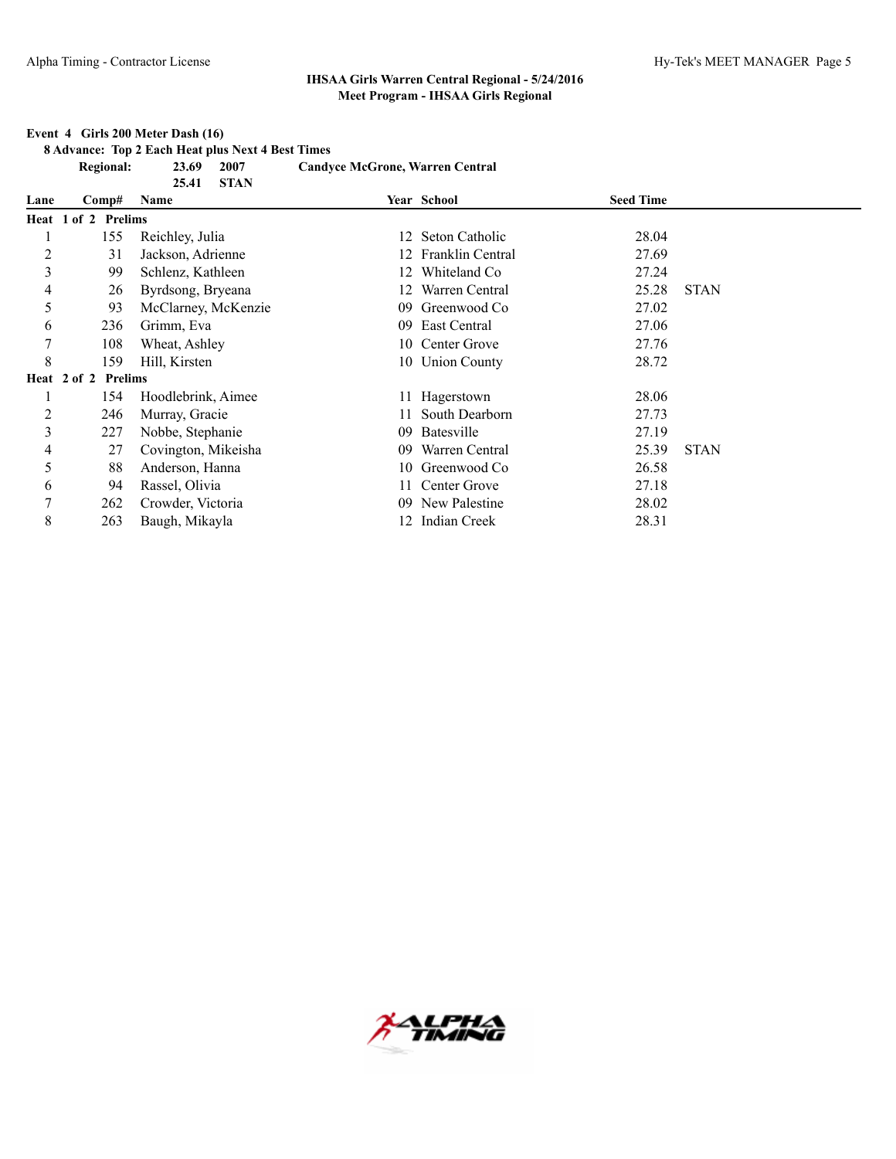#### **Event 4 Girls 200 Meter Dash (16)**

**8 Advance: Top 2 Each Heat plus Next 4 Best Times**

|                | <b>Regional:</b>    | 23.69<br>2007                | <b>Candyce McGrone, Warren Central</b> |                     |                  |             |
|----------------|---------------------|------------------------------|----------------------------------------|---------------------|------------------|-------------|
| Lane           | Comp#               | <b>STAN</b><br>25.41<br>Name |                                        | Year School         | <b>Seed Time</b> |             |
|                | Heat 1 of 2 Prelims |                              |                                        |                     |                  |             |
|                |                     |                              |                                        |                     |                  |             |
|                | 155                 | Reichley, Julia              |                                        | 12 Seton Catholic   | 28.04            |             |
| $\overline{c}$ | 31                  | Jackson, Adrienne            |                                        | Franklin Central    | 27.69            |             |
| 3              | 99                  | Schlenz, Kathleen            | 12                                     | Whiteland Co        | 27.24            |             |
| 4              | 26                  | Byrdsong, Bryeana            | 12                                     | Warren Central      | 25.28            | <b>STAN</b> |
| 5              | 93                  | McClarney, McKenzie          | 09                                     | Greenwood Co        | 27.02            |             |
| 6              | 236                 | Grimm, Eva                   | 09                                     | East Central        | 27.06            |             |
| 7              | 108                 | Wheat, Ashley                |                                        | 10 Center Grove     | 27.76            |             |
| 8              | 159                 | Hill, Kirsten                |                                        | 10 Union County     | 28.72            |             |
|                | Heat 2 of 2 Prelims |                              |                                        |                     |                  |             |
|                | 154                 | Hoodlebrink, Aimee           |                                        | 11 Hagerstown       | 28.06            |             |
| $\overline{2}$ | 246                 | Murray, Gracie               |                                        | South Dearborn      | 27.73            |             |
| 3              | 227                 | Nobbe, Stephanie             | 09                                     | Batesville          | 27.19            |             |
| 4              | 27                  | Covington, Mikeisha          | 09                                     | Warren Central      | 25.39            | <b>STAN</b> |
| 5              | 88                  | Anderson, Hanna              |                                        | 10 Greenwood Co     | 26.58            |             |
| 6              | 94                  | Rassel, Olivia               | 11                                     | Center Grove        | 27.18            |             |
| 7              | 262                 | Crowder, Victoria            | 09                                     | New Palestine       | 28.02            |             |
| 8              | 263                 | Baugh, Mikayla               |                                        | <b>Indian Creek</b> | 28.31            |             |

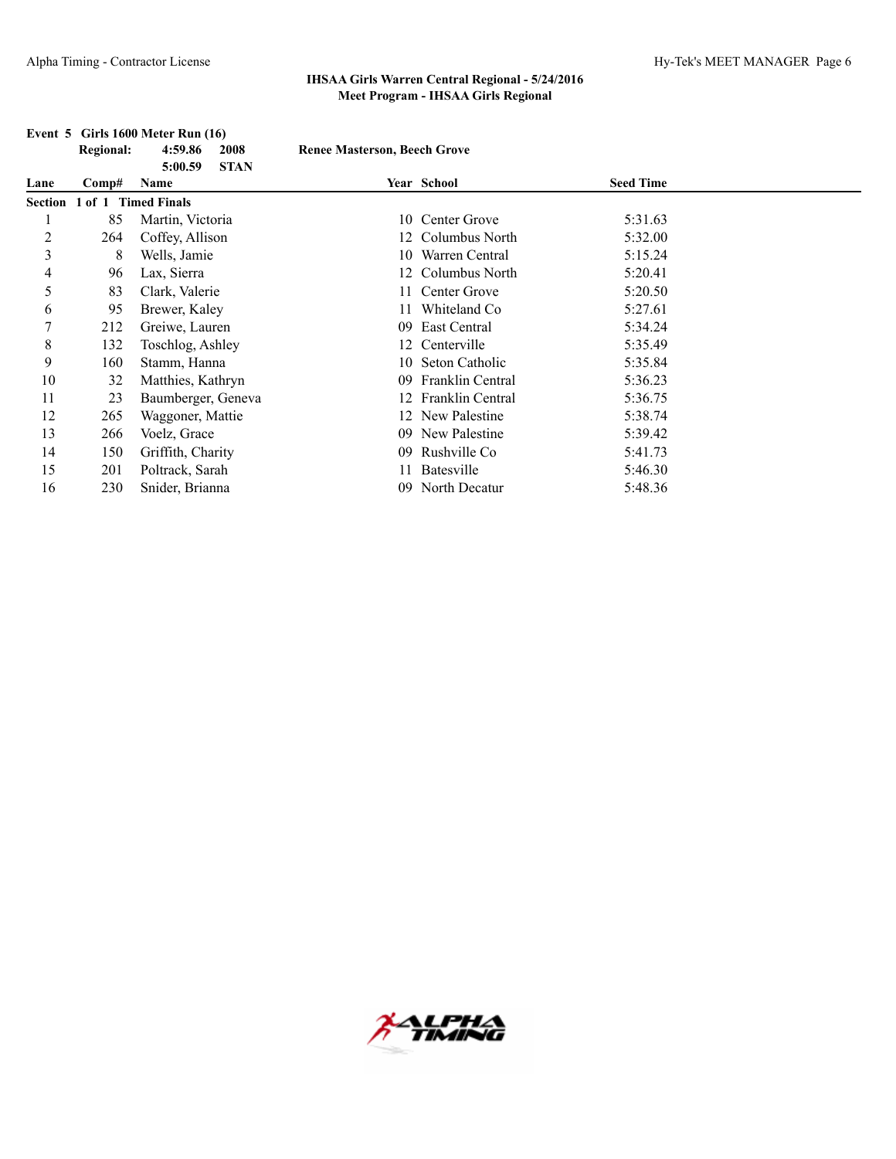|                | <b>Regional:</b>    | 4:59.86<br>2008                | <b>Renee Masterson, Beech Grove</b> |                         |                  |  |
|----------------|---------------------|--------------------------------|-------------------------------------|-------------------------|------------------|--|
| Lane           | Comp#               | <b>STAN</b><br>5:00.59<br>Name |                                     | Year School             | <b>Seed Time</b> |  |
| Section        | 1 of 1 Timed Finals |                                |                                     |                         |                  |  |
|                | 85                  | Martin, Victoria               | 10                                  | Center Grove            | 5:31.63          |  |
| $\overline{c}$ | 264                 | Coffey, Allison                |                                     | 12 Columbus North       | 5:32.00          |  |
| $\mathfrak{Z}$ | 8                   | Wells, Jamie                   | 10                                  | Warren Central          | 5:15.24          |  |
| 4              | 96                  | Lax, Sierra                    |                                     | 12 Columbus North       | 5:20.41          |  |
| 5              | 83                  | Clark, Valerie                 | 11.                                 | Center Grove            | 5:20.50          |  |
| 6              | 95                  | Brewer, Kaley                  |                                     | Whiteland Co            | 5:27.61          |  |
| 7              | 212                 | Greiwe, Lauren                 | 09                                  | East Central            | 5:34.24          |  |
| 8              | 132                 | Toschlog, Ashley               | 12                                  | Centerville             | 5:35.49          |  |
| 9              | 160                 | Stamm, Hanna                   | 10-                                 | Seton Catholic          | 5:35.84          |  |
| 10             | 32                  | Matthies, Kathryn              | 09                                  | Franklin Central        | 5:36.23          |  |
| 11             | 23                  | Baumberger, Geneva             | 12                                  | <b>Franklin Central</b> | 5:36.75          |  |
| 12             | 265                 | Waggoner, Mattie               |                                     | 12 New Palestine        | 5:38.74          |  |
| 13             | 266                 | Voelz, Grace                   | 09                                  | New Palestine           | 5:39.42          |  |
| 14             | 150                 | Griffith, Charity              | 09                                  | Rushville Co            | 5:41.73          |  |
| 15             | 201                 | Poltrack, Sarah                | 11                                  | Batesville              | 5:46.30          |  |
| 16             | 230                 | Snider, Brianna                |                                     | 09 North Decatur        | 5:48.36          |  |

#### **Event 5 Girls 1600 Meter Run (16)**

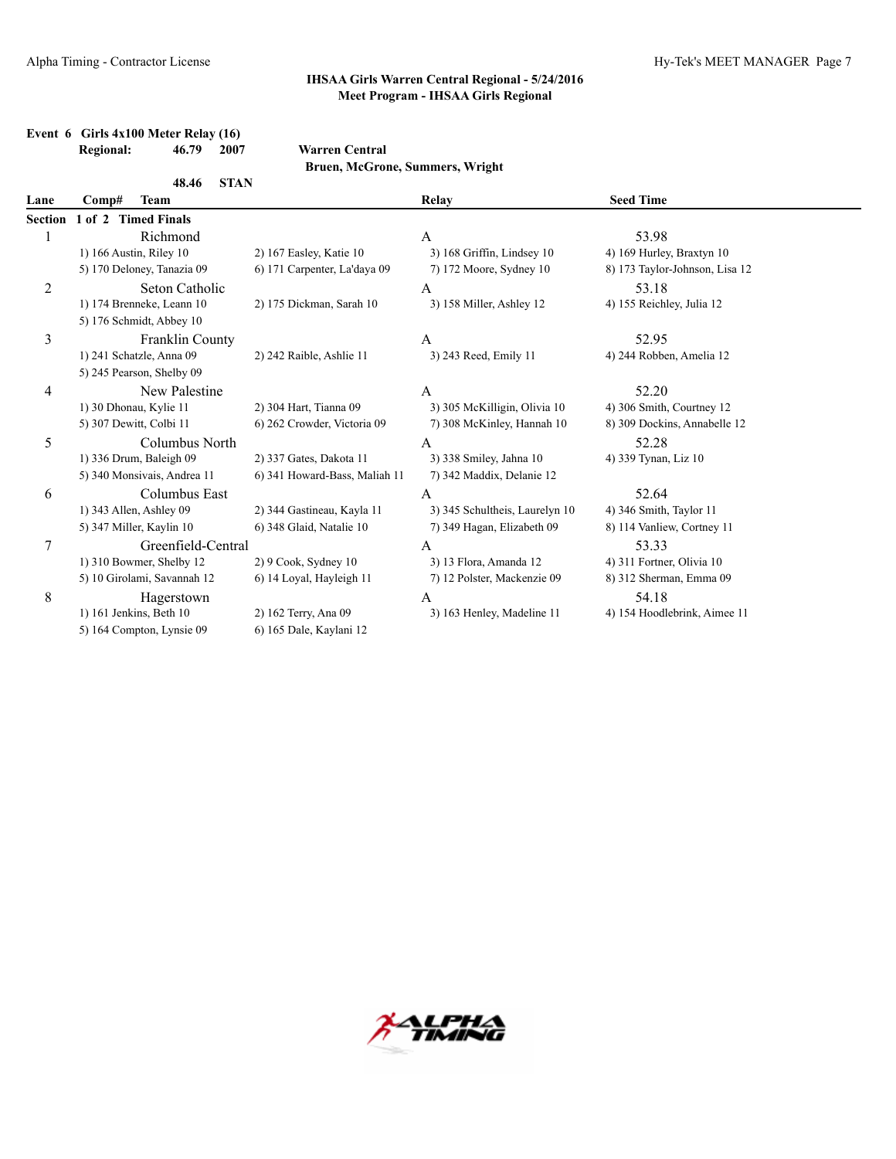| Event $6$ Girls $4x100$ Meter Relay (16) |       |      |                       |  |
|------------------------------------------|-------|------|-----------------------|--|
| <b>Regional:</b>                         | 46.79 | 2007 | <b>Warren Central</b> |  |

**Bruen, McGrone, Summers, Wright**

|         | 48.46                       | <b>STAN</b>                   |                                |                                |  |
|---------|-----------------------------|-------------------------------|--------------------------------|--------------------------------|--|
| Lane    | Comp#<br>Team               |                               | Relay                          | <b>Seed Time</b>               |  |
| Section | 1 of 2 Timed Finals         |                               |                                |                                |  |
| 1       | Richmond                    |                               | A                              | 53.98                          |  |
|         | 1) 166 Austin, Riley 10     | 2) 167 Easley, Katie 10       | 3) 168 Griffin, Lindsey 10     | 4) 169 Hurley, Braxtyn 10      |  |
|         | 5) 170 Deloney, Tanazia 09  | 6) 171 Carpenter, La'daya 09  | 7) 172 Moore, Sydney 10        | 8) 173 Taylor-Johnson, Lisa 12 |  |
| 2       | Seton Catholic              |                               | A                              | 53.18                          |  |
|         | 1) 174 Brenneke, Leann 10   | 2) 175 Dickman, Sarah 10      | 3) 158 Miller, Ashley 12       | 4) 155 Reichley, Julia 12      |  |
|         | 5) 176 Schmidt, Abbey 10    |                               |                                |                                |  |
| 3       | <b>Franklin County</b>      |                               | A                              | 52.95                          |  |
|         | 1) 241 Schatzle, Anna 09    | 2) 242 Raible, Ashlie 11      | 3) 243 Reed, Emily 11          | 4) 244 Robben, Amelia 12       |  |
|         | 5) 245 Pearson, Shelby 09   |                               |                                |                                |  |
| 4       | New Palestine               |                               | A                              | 52.20                          |  |
|         | 1) 30 Dhonau, Kylie 11      | 2) 304 Hart, Tianna 09        | 3) 305 McKilligin, Olivia 10   | 4) 306 Smith, Courtney 12      |  |
|         | 5) 307 Dewitt, Colbi 11     | 6) 262 Crowder, Victoria 09   | 7) 308 McKinley, Hannah 10     | 8) 309 Dockins, Annabelle 12   |  |
| 5       | Columbus North              |                               | A                              | 52.28                          |  |
|         | 1) 336 Drum, Baleigh 09     | 2) 337 Gates, Dakota 11       | 3) 338 Smiley, Jahna 10        | 4) 339 Tynan, Liz 10           |  |
|         | 5) 340 Monsivais, Andrea 11 | 6) 341 Howard-Bass, Maliah 11 | 7) 342 Maddix, Delanie 12      |                                |  |
| 6       | Columbus East               |                               | А                              | 52.64                          |  |
|         | 1) 343 Allen, Ashley 09     | 2) 344 Gastineau, Kayla 11    | 3) 345 Schultheis, Laurelyn 10 | 4) 346 Smith, Taylor 11        |  |
|         | 5) 347 Miller, Kaylin 10    | 6) 348 Glaid, Natalie 10      | 7) 349 Hagan, Elizabeth 09     | 8) 114 Vanliew, Cortney 11     |  |
| 7       | Greenfield-Central          |                               | A                              | 53.33                          |  |
|         | 1) 310 Bowmer, Shelby 12    | $2)$ 9 Cook, Sydney 10        | 3) 13 Flora, Amanda 12         | 4) 311 Fortner, Olivia 10      |  |
|         | 5) 10 Girolami, Savannah 12 | 6) 14 Loyal, Hayleigh 11      | 7) 12 Polster, Mackenzie 09    | 8) 312 Sherman, Emma 09        |  |
| 8       | Hagerstown                  |                               | A                              | 54.18                          |  |
|         | 1) 161 Jenkins, Beth 10     | 2) 162 Terry, Ana 09          | 3) 163 Henley, Madeline 11     | 4) 154 Hoodlebrink, Aimee 11   |  |
|         | 5) 164 Compton, Lynsie 09   | 6) 165 Dale, Kaylani 12       |                                |                                |  |

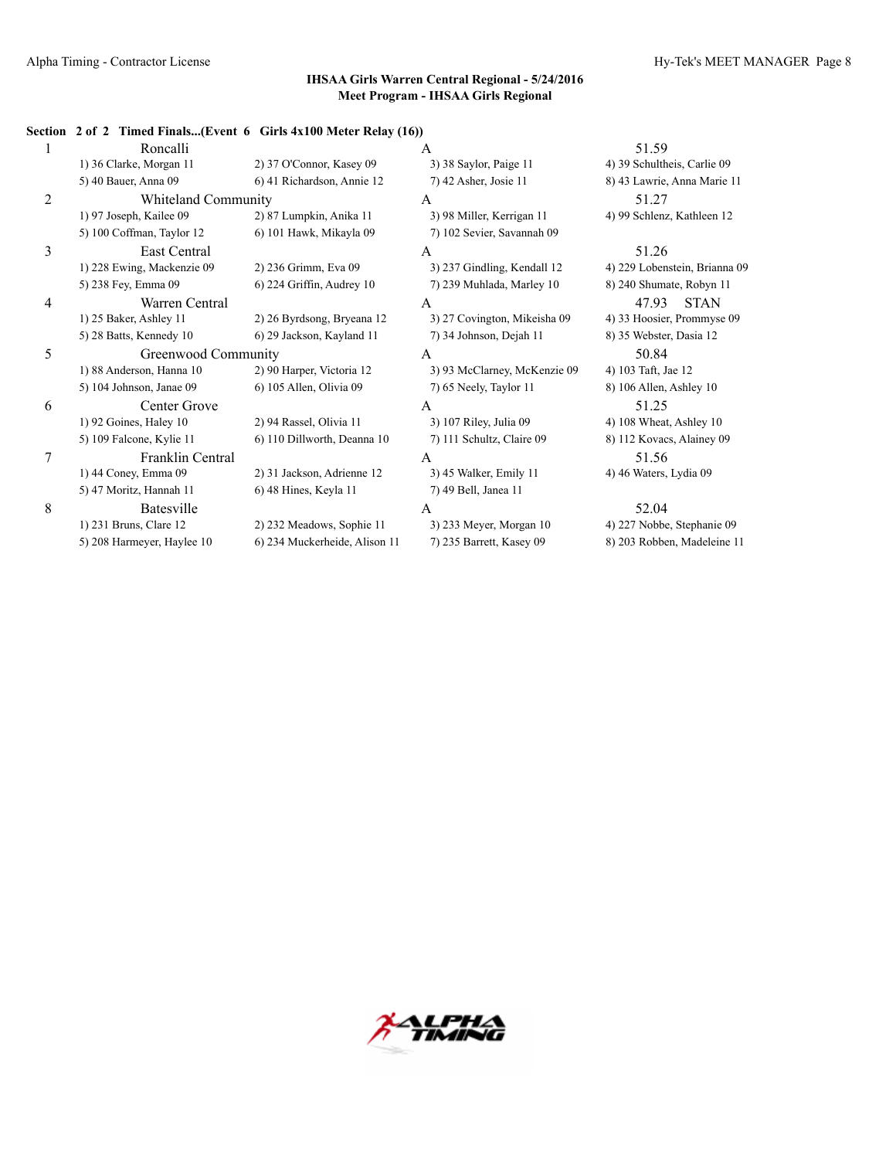#### **Section 2 of 2 Timed Finals...(Event 6 Girls 4x100 Meter Relay (16))**

|   | Roncalli                   |                               | A                            | 51.59                         |
|---|----------------------------|-------------------------------|------------------------------|-------------------------------|
|   | 1) 36 Clarke, Morgan 11    | 2) 37 O'Connor, Kasey 09      | 3) 38 Saylor, Paige 11       | 4) 39 Schultheis, Carlie 09   |
|   | 5) 40 Bauer, Anna 09       | 6) 41 Richardson, Annie 12    | 7) 42 Asher, Josie 11        | 8) 43 Lawrie, Anna Marie 11   |
| 2 | Whiteland Community        |                               | A                            | 51.27                         |
|   | 1) 97 Joseph, Kailee 09    | 2) 87 Lumpkin, Anika 11       | 3) 98 Miller, Kerrigan 11    | 4) 99 Schlenz, Kathleen 12    |
|   | 5) 100 Coffman, Taylor 12  | 6) 101 Hawk, Mikayla 09       | 7) 102 Sevier, Savannah 09   |                               |
| 3 | East Central               |                               | A                            | 51.26                         |
|   | 1) 228 Ewing, Mackenzie 09 | 2) 236 Grimm, Eva 09          | 3) 237 Gindling, Kendall 12  | 4) 229 Lobenstein, Brianna 09 |
|   | 5) 238 Fey, Emma 09        | 6) 224 Griffin, Audrey 10     | 7) 239 Muhlada, Marley 10    | 8) 240 Shumate, Robyn 11      |
| 4 | Warren Central             |                               | A                            | 47.93<br><b>STAN</b>          |
|   | 1) 25 Baker, Ashley 11     | 2) 26 Byrdsong, Bryeana 12    | 3) 27 Covington, Mikeisha 09 | 4) 33 Hoosier, Prommyse 09    |
|   | 5) 28 Batts, Kennedy 10    | 6) 29 Jackson, Kayland 11     | 7) 34 Johnson, Dejah 11      | 8) 35 Webster, Dasia 12       |
| 5 | Greenwood Community        |                               | A                            | 50.84                         |
|   |                            |                               |                              |                               |
|   | 1) 88 Anderson, Hanna 10   | 2) 90 Harper, Victoria 12     | 3) 93 McClarney, McKenzie 09 | 4) 103 Taft, Jae 12           |
|   | 5) 104 Johnson, Janae 09   | 6) 105 Allen, Olivia 09       | 7) 65 Neely, Taylor 11       | 8) 106 Allen, Ashley 10       |
| 6 | Center Grove               |                               | A                            | 51.25                         |
|   | 1) 92 Goines, Haley 10     | 2) 94 Rassel, Olivia 11       | 3) 107 Riley, Julia 09       | 4) 108 Wheat, Ashley 10       |
|   | 5) 109 Falcone, Kylie 11   | 6) 110 Dillworth, Deanna 10   | 7) 111 Schultz, Claire 09    | 8) 112 Kovacs, Alainey 09     |
| 7 | Franklin Central           |                               | A                            | 51.56                         |
|   | 1) 44 Coney, Emma 09       | 2) 31 Jackson, Adrienne 12    | 3) 45 Walker, Emily 11       | 4) 46 Waters, Lydia 09        |
|   | 5) 47 Moritz, Hannah 11    | 6) 48 Hines, Keyla 11         | 7) 49 Bell, Janea 11         |                               |
| 8 | Batesville                 |                               | A                            | 52.04                         |
|   | 1) 231 Bruns, Clare 12     | 2) 232 Meadows, Sophie 11     | 3) 233 Meyer, Morgan 10      | 4) 227 Nobbe, Stephanie 09    |
|   | 5) 208 Harmeyer, Haylee 10 | 6) 234 Muckerheide, Alison 11 | 7) 235 Barrett, Kasey 09     | 8) 203 Robben, Madeleine 11   |

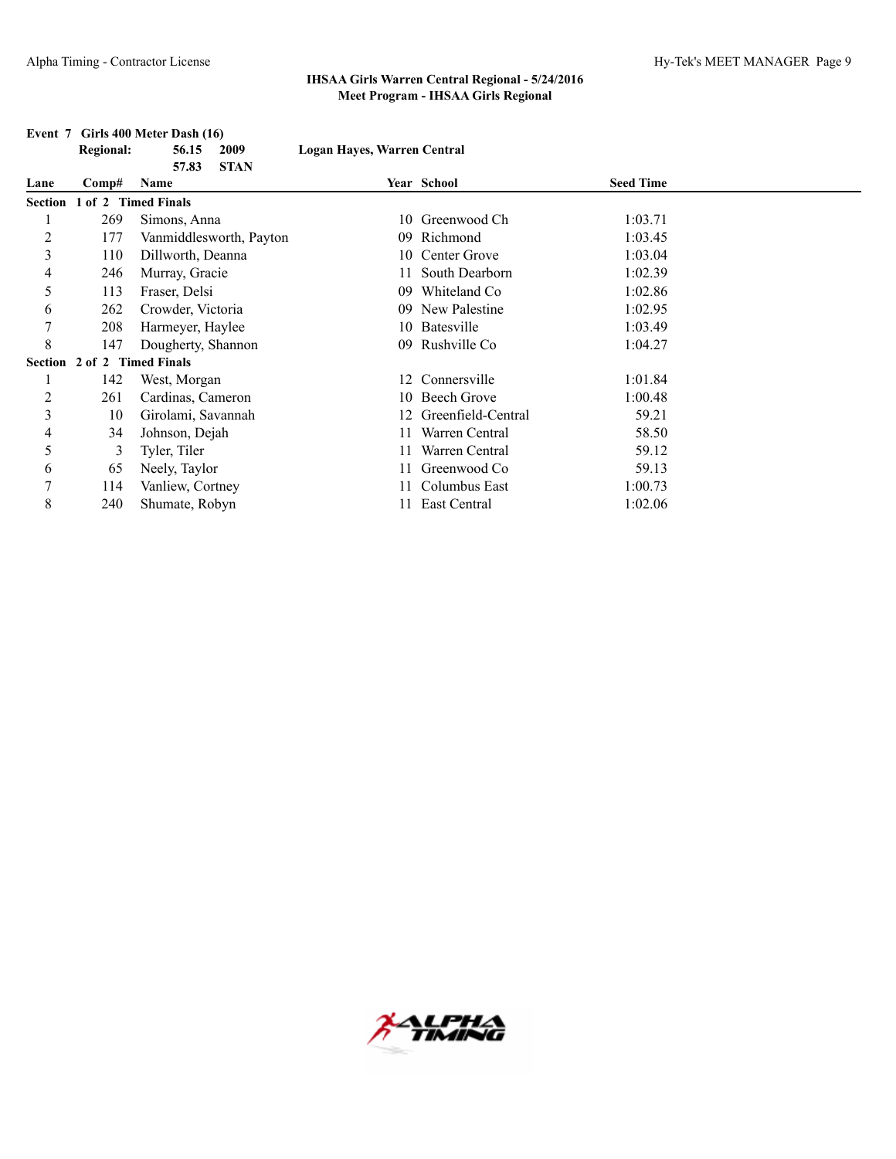|                | <b>Regional:</b>    | 56.15<br>2009           | Logan Hayes, Warren Central |                    |                  |  |
|----------------|---------------------|-------------------------|-----------------------------|--------------------|------------------|--|
|                |                     | 57.83<br><b>STAN</b>    |                             |                    |                  |  |
| Lane           | Comp#               | Name                    |                             | Year School        | <b>Seed Time</b> |  |
| <b>Section</b> | 1 of 2 Timed Finals |                         |                             |                    |                  |  |
|                | 269                 | Simons, Anna            |                             | 10 Greenwood Ch    | 1:03.71          |  |
| $\overline{c}$ | 177                 | Vanmiddlesworth, Payton | 09.                         | Richmond           | 1:03.45          |  |
| 3              | 110                 | Dillworth, Deanna       | 10                          | Center Grove       | 1:03.04          |  |
| 4              | 246                 | Murray, Gracie          | 11.                         | South Dearborn     | 1:02.39          |  |
| 5              | 113                 | Fraser, Delsi           | 09                          | Whiteland Co       | 1:02.86          |  |
| 6              | 262                 | Crowder, Victoria       | 09                          | New Palestine      | 1:02.95          |  |
| 7              | 208                 | Harmeyer, Haylee        |                             | 10 Batesville      | 1:03.49          |  |
| 8              | 147                 | Dougherty, Shannon      | 09                          | Rushville Co       | 1:04.27          |  |
| Section        | 2 of 2 Timed Finals |                         |                             |                    |                  |  |
|                | 142                 | West, Morgan            |                             | 12 Connersville    | 1:01.84          |  |
| 2              | 261                 | Cardinas, Cameron       |                             | 10 Beech Grove     | 1:00.48          |  |
| 3              | 10                  | Girolami, Savannah      | 12                          | Greenfield-Central | 59.21            |  |
| 4              | 34                  | Johnson, Dejah          |                             | Warren Central     | 58.50            |  |
| 5              | 3                   | Tyler, Tiler            | 11                          | Warren Central     | 59.12            |  |
| 6              | 65                  | Neely, Taylor           |                             | Greenwood Co       | 59.13            |  |
| 7              | 114                 | Vanliew, Cortney        |                             | Columbus East      | 1:00.73          |  |
| 8              | 240                 | Shumate, Robyn          | 11.                         | East Central       | 1:02.06          |  |

#### **Event 7 Girls 400 Meter Dash (16)**

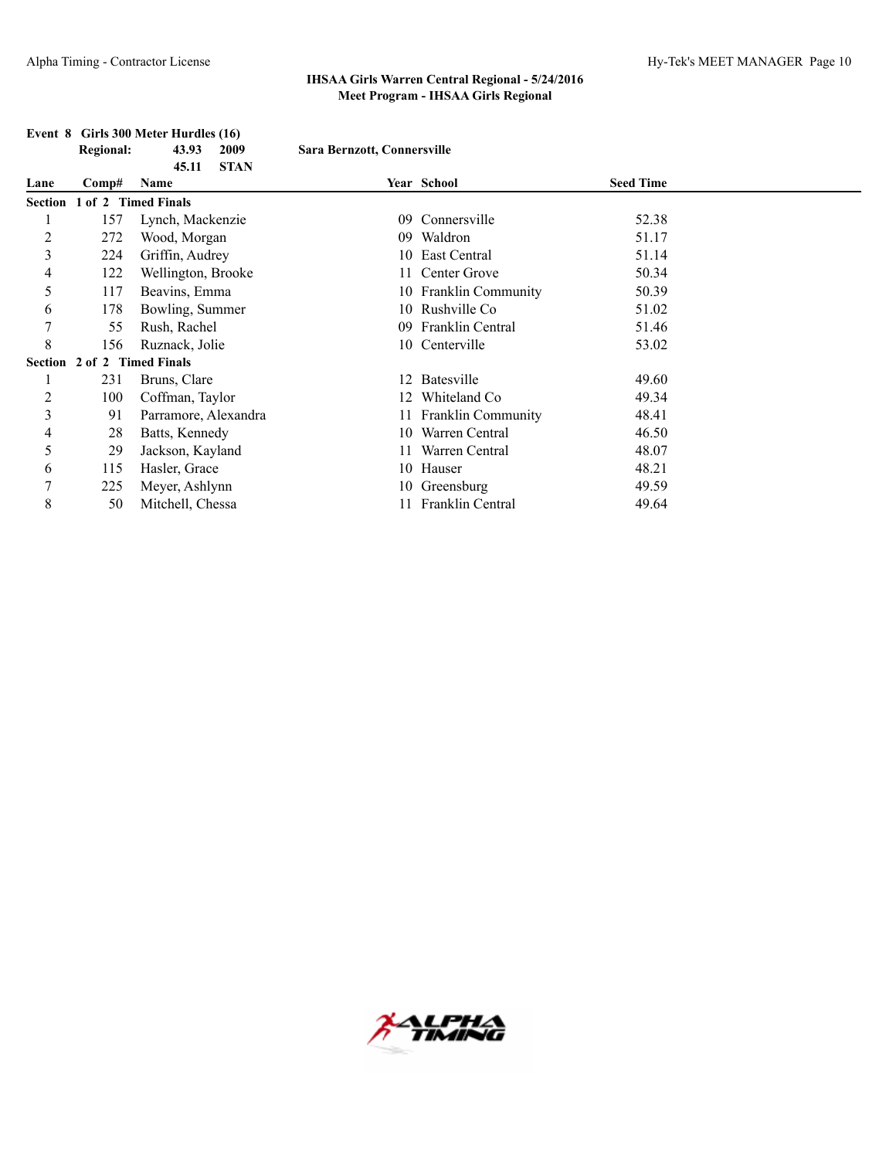## **Event 8 Girls 300 Meter Hurdles (16)**<br>Regional: 43.93 2009

 $Sara Bernzott, Connersville$ 

|                |       | <b>STAN</b><br>45.11        |                 |                         |                  |  |
|----------------|-------|-----------------------------|-----------------|-------------------------|------------------|--|
| Lane           | Comp# | Name                        |                 | Year School             | <b>Seed Time</b> |  |
|                |       | Section 1 of 2 Timed Finals |                 |                         |                  |  |
|                | 157   | Lynch, Mackenzie            | 09              | Connersville            | 52.38            |  |
| $\overline{c}$ | 272   | Wood, Morgan                | 09              | Waldron                 | 51.17            |  |
| 3              | 224   | Griffin, Audrey             | 10              | East Central            | 51.14            |  |
| 4              | 122   | Wellington, Brooke          |                 | Center Grove            | 50.34            |  |
| 5              | 117   | Beavins, Emma               |                 | 10 Franklin Community   | 50.39            |  |
| 6              | 178   | Bowling, Summer             |                 | 10 Rushville Co         | 51.02            |  |
| 7              | 55    | Rush, Rachel                | 09 <sup>°</sup> | <b>Franklin Central</b> | 51.46            |  |
| 8              | 156   | Ruznack, Jolie              |                 | 10 Centerville          | 53.02            |  |
|                |       | Section 2 of 2 Timed Finals |                 |                         |                  |  |
| 1              | 231   | Bruns, Clare                |                 | 12 Batesville           | 49.60            |  |
| $\overline{c}$ | 100   | Coffman, Taylor             |                 | 12 Whiteland Co         | 49.34            |  |
| 3              | 91    | Parramore, Alexandra        |                 | 11 Franklin Community   | 48.41            |  |
| 4              | 28    | Batts, Kennedy              | 10              | Warren Central          | 46.50            |  |
| 5              | 29    | Jackson, Kayland            |                 | Warren Central          | 48.07            |  |
| 6              | 115   | Hasler, Grace               |                 | 10 Hauser               | 48.21            |  |
| 7              | 225   | Meyer, Ashlynn              |                 | 10 Greensburg           | 49.59            |  |
| 8              | 50    | Mitchell, Chessa            |                 | Franklin Central        | 49.64            |  |

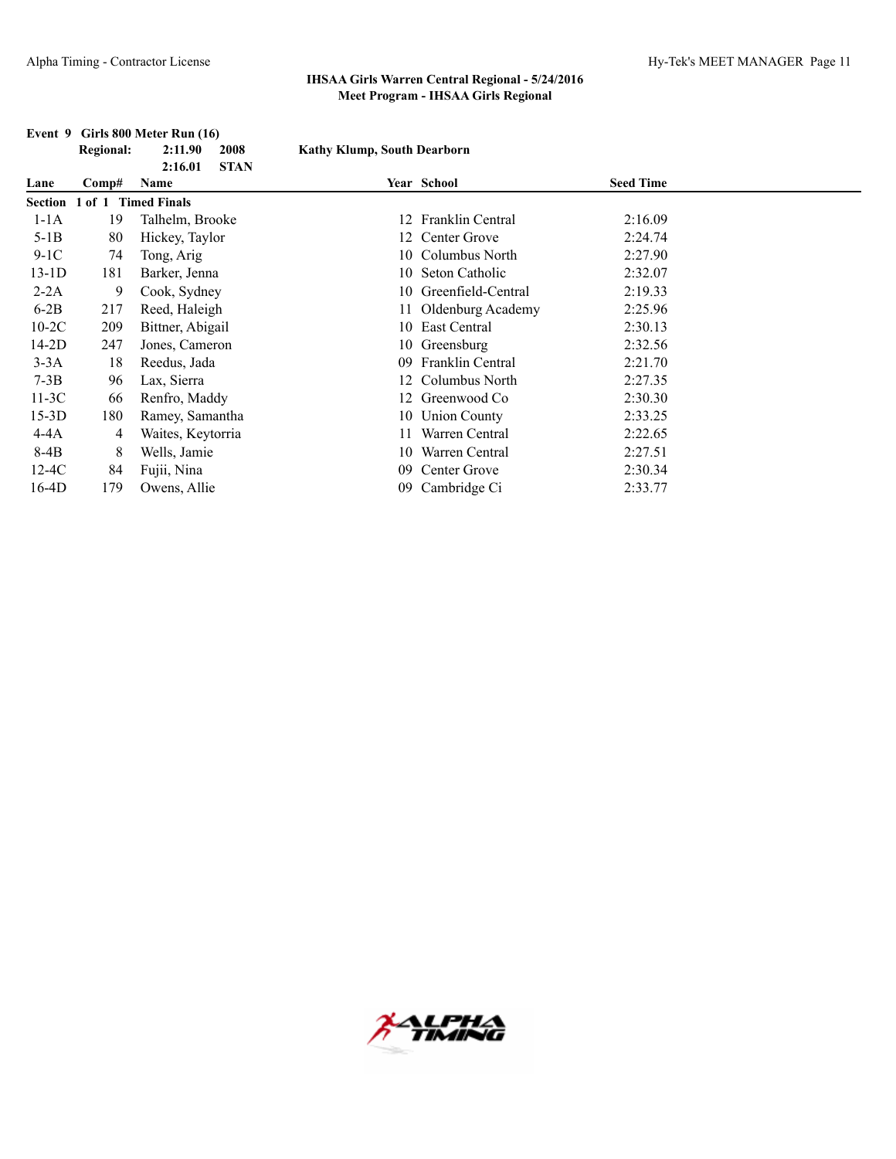|         | <b>Regional:</b> | 2:11.90<br>2008                | <b>Kathy Klump, South Dearborn</b> |                      |                  |  |
|---------|------------------|--------------------------------|------------------------------------|----------------------|------------------|--|
| Lane    | $\bf Comp\#$     | <b>STAN</b><br>2:16.01<br>Name |                                    | Year School          | <b>Seed Time</b> |  |
| Section | $1$ of $1$       | <b>Timed Finals</b>            |                                    |                      |                  |  |
| $1-1A$  | 19               | Talhelm, Brooke                | 12                                 | Franklin Central     | 2:16.09          |  |
| $5-1B$  | 80               | Hickey, Taylor                 | 12                                 | Center Grove         | 2:24.74          |  |
| $9-1C$  | 74               | Tong, Arig                     |                                    | 10 Columbus North    | 2:27.90          |  |
| 13-1D   | 181              | Barker, Jenna                  |                                    | 10 Seton Catholic    | 2:32.07          |  |
| $2-2A$  | 9                | Cook, Sydney                   | 10                                 | Greenfield-Central   | 2:19.33          |  |
| $6-2B$  | 217              | Reed, Haleigh                  |                                    | 11 Oldenburg Academy | 2:25.96          |  |
| $10-2C$ | 209              | Bittner, Abigail               | 10                                 | East Central         | 2:30.13          |  |
| 14-2D   | 247              | Jones, Cameron                 |                                    | 10 Greensburg        | 2:32.56          |  |
| $3-3A$  | 18               | Reedus, Jada                   | 09                                 | Franklin Central     | 2:21.70          |  |
| $7-3B$  | 96               | Lax, Sierra                    |                                    | Columbus North       | 2:27.35          |  |
| $11-3C$ | 66               | Renfro, Maddy                  |                                    | Greenwood Co         | 2:30.30          |  |
| $15-3D$ | 180              | Ramey, Samantha                | 10                                 | <b>Union County</b>  | 2:33.25          |  |
| 4-4A    | 4                | Waites, Keytorria              | 11                                 | Warren Central       | 2:22.65          |  |
| 8-4B    | 8                | Wells, Jamie                   | 10                                 | Warren Central       | 2:27.51          |  |
| $12-4C$ | 84               | Fujii, Nina                    | 09                                 | Center Grove         | 2:30.34          |  |
| 16-4D   | 179              | Owens, Allie                   | 09                                 | Cambridge Ci         | 2:33.77          |  |

#### **Event 9 Girls 800 Meter Run (16)**

**\LPHA**<br>TMING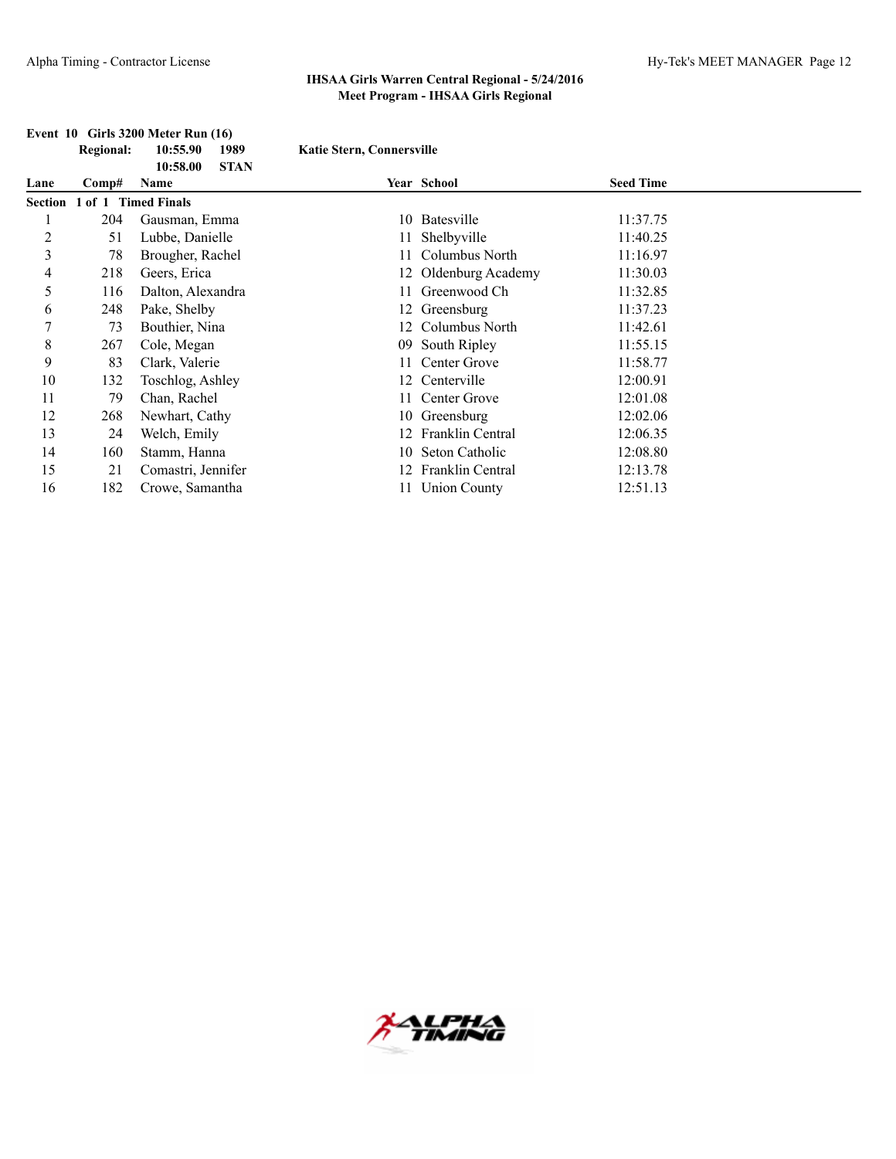### **Event 10 Girls 3200 Meter Run (16)**

|                | <b>Regional:</b> | 10:55.90<br>1989<br><b>STAN</b><br>10:58.00 | <b>Katie Stern, Connersville</b> |                         |                  |  |
|----------------|------------------|---------------------------------------------|----------------------------------|-------------------------|------------------|--|
| Lane           | Comp#            | Name                                        |                                  | Year School             | <b>Seed Time</b> |  |
| <b>Section</b> | 1 of 1           | <b>Timed Finals</b>                         |                                  |                         |                  |  |
|                | 204              | Gausman, Emma                               | 10                               | Batesville              | 11:37.75         |  |
| $\overline{c}$ | 51               | Lubbe, Danielle                             |                                  | 11 Shelbyville          | 11:40.25         |  |
| 3              | 78               | Brougher, Rachel                            |                                  | Columbus North          | 11:16.97         |  |
| 4              | 218              | Geers, Erica                                |                                  | 12 Oldenburg Academy    | 11:30.03         |  |
| 5              | 116              | Dalton, Alexandra                           |                                  | Greenwood Ch            | 11:32.85         |  |
| 6              | 248              | Pake, Shelby                                |                                  | 12 Greensburg           | 11:37.23         |  |
| 7              | 73               | Bouthier, Nina                              |                                  | Columbus North          | 11:42.61         |  |
| 8              | 267              | Cole, Megan                                 | 09                               | South Ripley            | 11:55.15         |  |
| 9              | 83               | Clark, Valerie                              |                                  | Center Grove            | 11:58.77         |  |
| 10             | 132              | Toschlog, Ashley                            |                                  | 12 Centerville          | 12:00.91         |  |
| 11             | 79               | Chan, Rachel                                | 11                               | Center Grove            | 12:01.08         |  |
| 12             | 268              | Newhart, Cathy                              |                                  | 10 Greensburg           | 12:02.06         |  |
| 13             | 24               | Welch, Emily                                |                                  | <b>Franklin Central</b> | 12:06.35         |  |
| 14             | 160              | Stamm, Hanna                                | 10                               | Seton Catholic          | 12:08.80         |  |
| 15             | 21               | Comastri, Jennifer                          |                                  | Franklin Central        | 12:13.78         |  |
| 16             | 182              | Crowe, Samantha                             |                                  | <b>Union County</b>     | 12:51.13         |  |

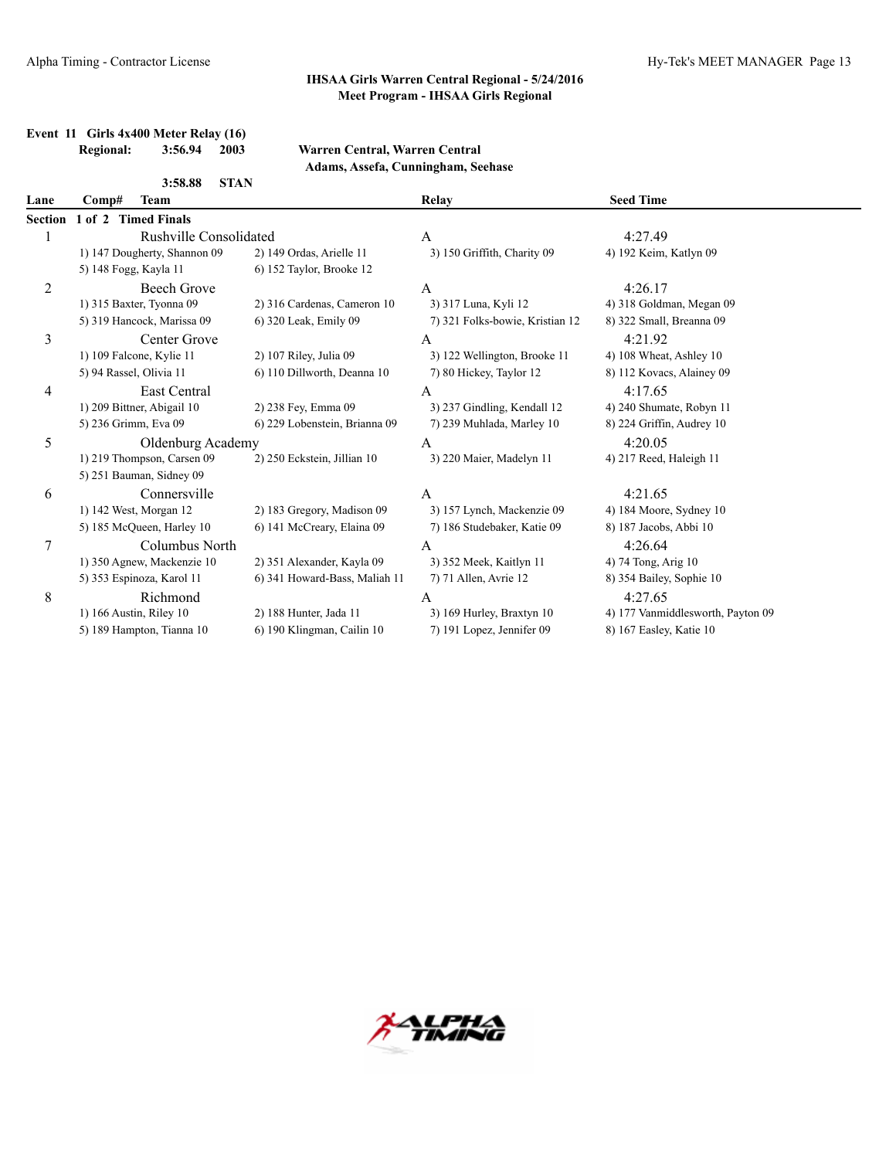## **Event 11 Girls 4x400 Meter Relay (16)**

#### **Regional: 3:56.94 2003 Warren Central, Warren Central Adams, Assefa, Cunningham, Seehase**

|                | <b>STAN</b><br>3:58.88       |                               |                                 |                                   |
|----------------|------------------------------|-------------------------------|---------------------------------|-----------------------------------|
| Lane           | Comp#<br><b>Team</b>         |                               | Relay                           | <b>Seed Time</b>                  |
| Section        | 1 of 2 Timed Finals          |                               |                                 |                                   |
| 1              | Rushville Consolidated       |                               | A                               | 4:27.49                           |
|                | 1) 147 Dougherty, Shannon 09 | 2) 149 Ordas, Arielle 11      | 3) 150 Griffith, Charity 09     | 4) 192 Keim, Katlyn 09            |
|                | 5) 148 Fogg, Kayla 11        | 6) 152 Taylor, Brooke 12      |                                 |                                   |
| $\overline{c}$ | <b>Beech Grove</b>           |                               | A                               | 4:26.17                           |
|                | 1) 315 Baxter, Tyonna 09     | 2) 316 Cardenas, Cameron 10   | 3) 317 Luna, Kyli 12            | 4) 318 Goldman, Megan 09          |
|                | 5) 319 Hancock, Marissa 09   | 6) 320 Leak, Emily 09         | 7) 321 Folks-bowie, Kristian 12 | 8) 322 Small, Breanna 09          |
| 3              | Center Grove                 |                               | A                               | 4:21.92                           |
|                | 1) 109 Falcone, Kylie 11     | 2) 107 Riley, Julia 09        | 3) 122 Wellington, Brooke 11    | 4) 108 Wheat, Ashley 10           |
|                | 5) 94 Rassel, Olivia 11      | 6) 110 Dillworth, Deanna 10   | 7) 80 Hickey, Taylor 12         | 8) 112 Kovacs, Alainey 09         |
| 4              | East Central                 |                               | A                               | 4:17.65                           |
|                | 1) 209 Bittner, Abigail 10   | 2) 238 Fey, Emma 09           | 3) 237 Gindling, Kendall 12     | 4) 240 Shumate, Robyn 11          |
|                | 5) 236 Grimm, Eva 09         | 6) 229 Lobenstein, Brianna 09 | 7) 239 Muhlada, Marley 10       | 8) 224 Griffin, Audrey 10         |
| 5              | Oldenburg Academy            |                               | A                               | 4:20.05                           |
|                | 1) 219 Thompson, Carsen 09   | 2) 250 Eckstein, Jillian 10   | 3) 220 Maier, Madelyn 11        | 4) 217 Reed, Haleigh 11           |
|                | 5) 251 Bauman, Sidney 09     |                               |                                 |                                   |
| 6              | Connersville                 |                               | A                               | 4:21.65                           |
|                | 1) 142 West, Morgan 12       | 2) 183 Gregory, Madison 09    | 3) 157 Lynch, Mackenzie 09      | 4) 184 Moore, Sydney 10           |
|                | 5) 185 McQueen, Harley 10    | 6) 141 McCreary, Elaina 09    | 7) 186 Studebaker, Katie 09     | 8) 187 Jacobs, Abbi 10            |
| 7              | Columbus North               |                               | $\overline{A}$                  | 4:26.64                           |
|                | 1) 350 Agnew, Mackenzie 10   | 2) 351 Alexander, Kayla 09    | 3) 352 Meek, Kaitlyn 11         | 4) 74 Tong, Arig 10               |
|                | 5) 353 Espinoza, Karol 11    | 6) 341 Howard-Bass, Maliah 11 | 7) 71 Allen, Avrie 12           | 8) 354 Bailey, Sophie 10          |
| 8              | Richmond                     |                               | A                               | 4:27.65                           |
|                | 1) 166 Austin, Riley 10      | 2) 188 Hunter, Jada 11        | 3) 169 Hurley, Braxtyn 10       | 4) 177 Vanmiddlesworth, Payton 09 |
|                | 5) 189 Hampton, Tianna 10    | 6) 190 Klingman, Cailin 10    | 7) 191 Lopez, Jennifer 09       | 8) 167 Easley, Katie 10           |
|                |                              |                               |                                 |                                   |

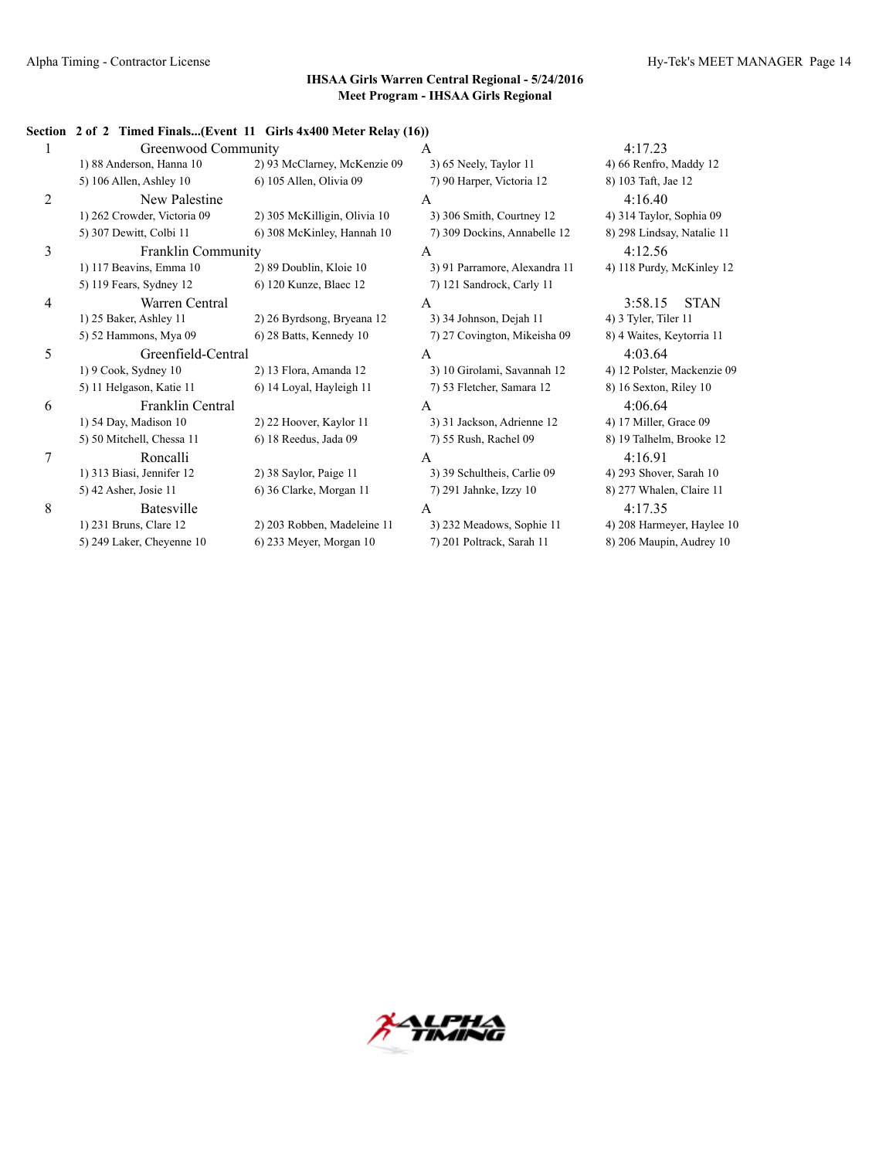#### **Section 2 of 2 Timed Finals...(Event 11 Girls 4x400 Meter Relay (16))**

|                | Greenwood Community         |                              | A                             | 4:17.23                     |
|----------------|-----------------------------|------------------------------|-------------------------------|-----------------------------|
|                | 1) 88 Anderson, Hanna 10    | 2) 93 McClarney, McKenzie 09 | 3) 65 Neely, Taylor 11        | 4) 66 Renfro, Maddy 12      |
|                | 5) 106 Allen, Ashley 10     | 6) 105 Allen, Olivia 09      | 7) 90 Harper, Victoria 12     | 8) 103 Taft, Jae 12         |
| $\overline{2}$ | New Palestine               |                              | A                             | 4:16.40                     |
|                | 1) 262 Crowder, Victoria 09 | 2) 305 McKilligin, Olivia 10 | 3) 306 Smith, Courtney 12     | 4) 314 Taylor, Sophia 09    |
|                | 5) 307 Dewitt, Colbi 11     | 6) 308 McKinley, Hannah 10   | 7) 309 Dockins, Annabelle 12  | 8) 298 Lindsay, Natalie 11  |
| 3              | <b>Franklin Community</b>   |                              | A                             | 4:12.56                     |
|                | 1) 117 Beavins, Emma 10     | 2) 89 Doublin, Kloie 10      | 3) 91 Parramore, Alexandra 11 | 4) 118 Purdy, McKinley 12   |
|                | 5) 119 Fears, Sydney 12     | 6) 120 Kunze, Blaec 12       | 7) 121 Sandrock, Carly 11     |                             |
| 4              | Warren Central              |                              | A                             | <b>STAN</b><br>3:58.15      |
|                | 1) 25 Baker, Ashley 11      | 2) 26 Byrdsong, Bryeana 12   | 3) 34 Johnson, Dejah 11       | 4) 3 Tyler, Tiler 11        |
|                | 5) 52 Hammons, Mya 09       | 6) 28 Batts, Kennedy 10      | 7) 27 Covington, Mikeisha 09  | 8) 4 Waites, Keytorria 11   |
| 5              | Greenfield-Central          |                              | A                             | 4:03.64                     |
|                | 1) 9 Cook, Sydney 10        | 2) 13 Flora, Amanda 12       | 3) 10 Girolami, Savannah 12   | 4) 12 Polster, Mackenzie 09 |
|                | 5) 11 Helgason, Katie 11    | 6) 14 Loyal, Hayleigh 11     | 7) 53 Fletcher, Samara 12     | 8) 16 Sexton, Riley 10      |
| 6              | Franklin Central            |                              | A                             | 4:06.64                     |
|                | 1) 54 Day, Madison 10       | 2) 22 Hoover, Kaylor 11      | 3) 31 Jackson, Adrienne 12    | 4) 17 Miller, Grace 09      |
|                | 5) 50 Mitchell, Chessa 11   | 6) 18 Reedus, Jada 09        | 7) 55 Rush, Rachel 09         | 8) 19 Talhelm, Brooke 12    |
| 7              | Roncalli                    |                              | A                             | 4:16.91                     |
|                | 1) 313 Biasi, Jennifer 12   | 2) 38 Saylor, Paige 11       | 3) 39 Schultheis, Carlie 09   | 4) 293 Shover, Sarah 10     |
|                | 5) 42 Asher, Josie 11       | 6) 36 Clarke, Morgan 11      | 7) 291 Jahnke, Izzy 10        | 8) 277 Whalen, Claire 11    |
| 8              | Batesville                  |                              | A                             | 4:17.35                     |
|                | 1) 231 Bruns, Clare 12      | 2) 203 Robben, Madeleine 11  | 3) 232 Meadows, Sophie 11     | 4) 208 Harmeyer, Haylee 10  |
|                | 5) 249 Laker, Cheyenne 10   | 6) 233 Meyer, Morgan 10      | 7) 201 Poltrack, Sarah 11     | 8) 206 Maupin, Audrey 10    |
|                |                             |                              |                               |                             |

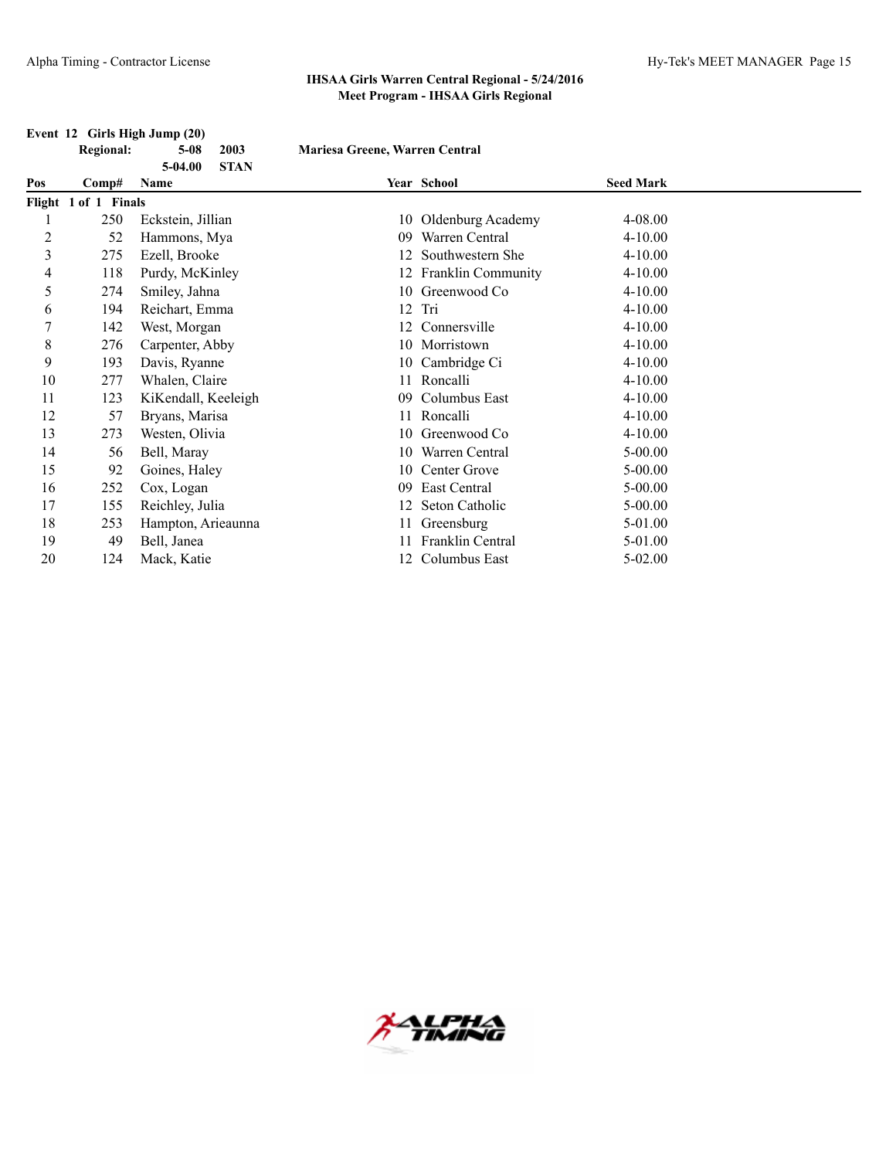## **Event 12 Girls High Jump (20)**<br>Regional: 5-08

**5-04.00 STAN**

**Regional: 5-08 2003 Mariesa Greene, Warren Central**

| Pos | Comp#                | Name                |    | Year School               | <b>Seed Mark</b> |  |
|-----|----------------------|---------------------|----|---------------------------|------------------|--|
|     | Flight 1 of 1 Finals |                     |    |                           |                  |  |
|     | 250                  | Eckstein, Jillian   |    | 10 Oldenburg Academy      | 4-08.00          |  |
| 2   | 52                   | Hammons, Mya        | 09 | Warren Central            | $4 - 10.00$      |  |
| 3   | 275                  | Ezell, Brooke       |    | Southwestern She          | $4 - 10.00$      |  |
| 4   | 118                  | Purdy, McKinley     |    | <b>Franklin Community</b> | $4 - 10.00$      |  |
| 5   | 274                  | Smiley, Jahna       | 10 | Greenwood Co              | $4 - 10.00$      |  |
| 6   | 194                  | Reichart, Emma      |    | $12$ Tri                  | $4 - 10.00$      |  |
|     | 142                  | West, Morgan        | 12 | Connersville              | $4 - 10.00$      |  |
| 8   | 276                  | Carpenter, Abby     | 10 | Morristown                | $4 - 10.00$      |  |
| 9   | 193                  | Davis, Ryanne       |    | 10 Cambridge Ci           | $4 - 10.00$      |  |
| 10  | 277                  | Whalen, Claire      |    | Roncalli                  | $4 - 10.00$      |  |
| 11  | 123                  | KiKendall, Keeleigh | 09 | Columbus East             | $4 - 10.00$      |  |
| 12  | 57                   | Bryans, Marisa      |    | 11 Roncalli               | $4 - 10.00$      |  |
| 13  | 273                  | Westen, Olivia      | 10 | Greenwood Co              | $4 - 10.00$      |  |
| 14  | 56                   | Bell, Maray         | 10 | Warren Central            | $5 - 00.00$      |  |
| 15  | 92                   | Goines, Haley       | 10 | Center Grove              | $5 - 00.00$      |  |
| 16  | 252                  | Cox, Logan          | 09 | East Central              | $5 - 00.00$      |  |
| 17  | 155                  | Reichley, Julia     |    | Seton Catholic            | $5 - 00.00$      |  |
| 18  | 253                  | Hampton, Arieaunna  |    | 11 Greensburg             | 5-01.00          |  |
| 19  | 49                   | Bell, Janea         |    | Franklin Central          | 5-01.00          |  |
| 20  | 124                  | Mack, Katie         |    | Columbus East             | 5-02.00          |  |

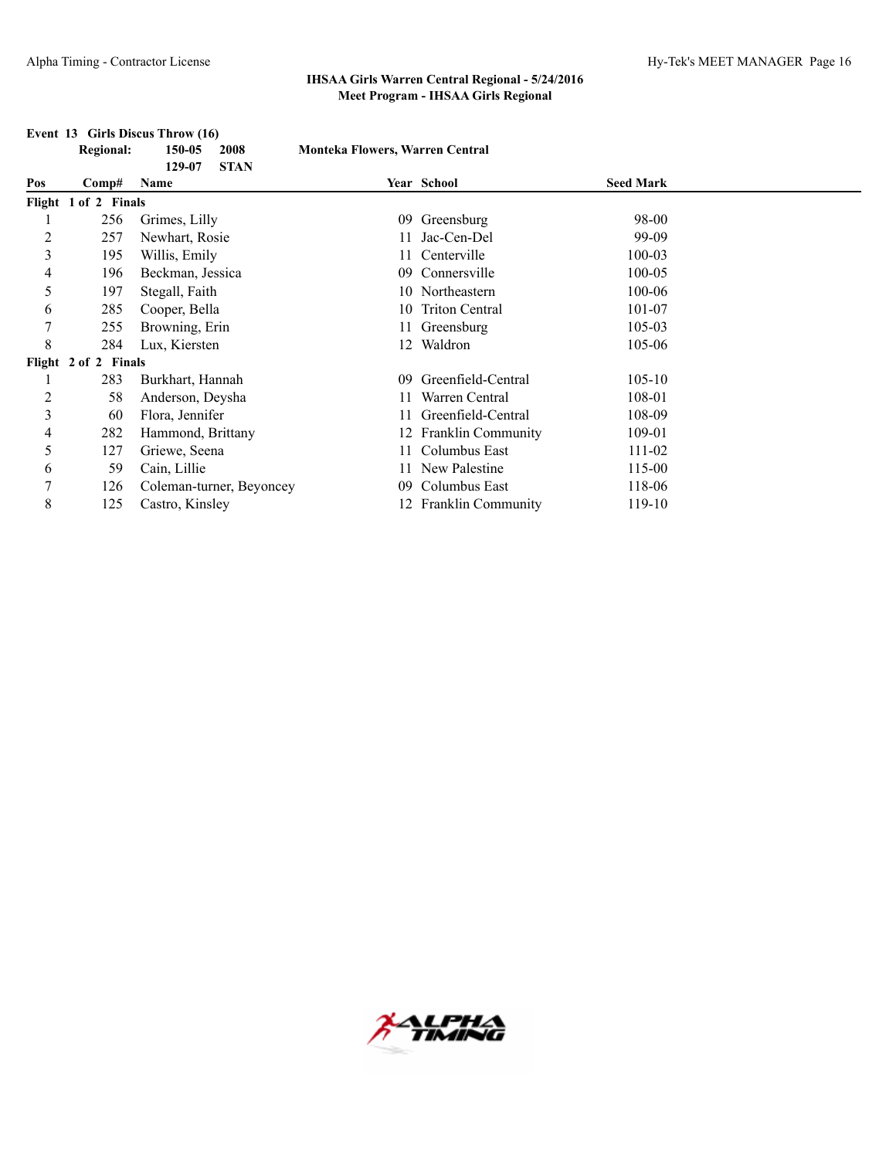|                | <b>Regional:</b>     | 150-05<br>2008                | <b>Monteka Flowers, Warren Central</b> |                       |                  |  |
|----------------|----------------------|-------------------------------|----------------------------------------|-----------------------|------------------|--|
| Pos            | Comp#                | <b>STAN</b><br>129-07<br>Name |                                        | Year School           | <b>Seed Mark</b> |  |
|                | Flight 1 of 2 Finals |                               |                                        |                       |                  |  |
|                | 256                  | Grimes, Lilly                 | 09                                     | Greensburg            | 98-00            |  |
| $\overline{c}$ | 257                  | Newhart, Rosie                |                                        | Jac-Cen-Del           | 99-09            |  |
| 3              | 195                  | Willis, Emily                 |                                        | Centerville           | $100 - 03$       |  |
| 4              | 196                  | Beckman, Jessica              | 09                                     | Connersville          | 100-05           |  |
| 5              | 197                  | Stegall, Faith                |                                        | 10 Northeastern       | 100-06           |  |
| 6              | 285                  | Cooper, Bella                 | 10                                     | <b>Triton Central</b> | 101-07           |  |
| 7              | 255                  | Browning, Erin                |                                        | Greensburg            | 105-03           |  |
| 8              | 284                  | Lux, Kiersten                 | 12                                     | Waldron               | 105-06           |  |
|                | Flight 2 of 2 Finals |                               |                                        |                       |                  |  |
| 1              | 283                  | Burkhart, Hannah              | 09                                     | Greenfield-Central    | $105 - 10$       |  |
| 2              | 58                   | Anderson, Deysha              |                                        | Warren Central        | 108-01           |  |
| $\overline{3}$ | 60                   | Flora, Jennifer               |                                        | Greenfield-Central    | 108-09           |  |
| 4              | 282                  | Hammond, Brittany             |                                        | Franklin Community    | 109-01           |  |
| 5              | 127                  | Griewe, Seena                 | 11                                     | Columbus East         | 111-02           |  |
| 6              | 59                   | Cain, Lillie                  |                                        | New Palestine         | 115-00           |  |
|                | 126                  | Coleman-turner, Beyoncey      | 09                                     | Columbus East         | 118-06           |  |
| 8              | 125                  | Castro, Kinsley               |                                        | 12 Franklin Community | $119-10$         |  |

#### **Event 13 Girls Discus Throw (16)**

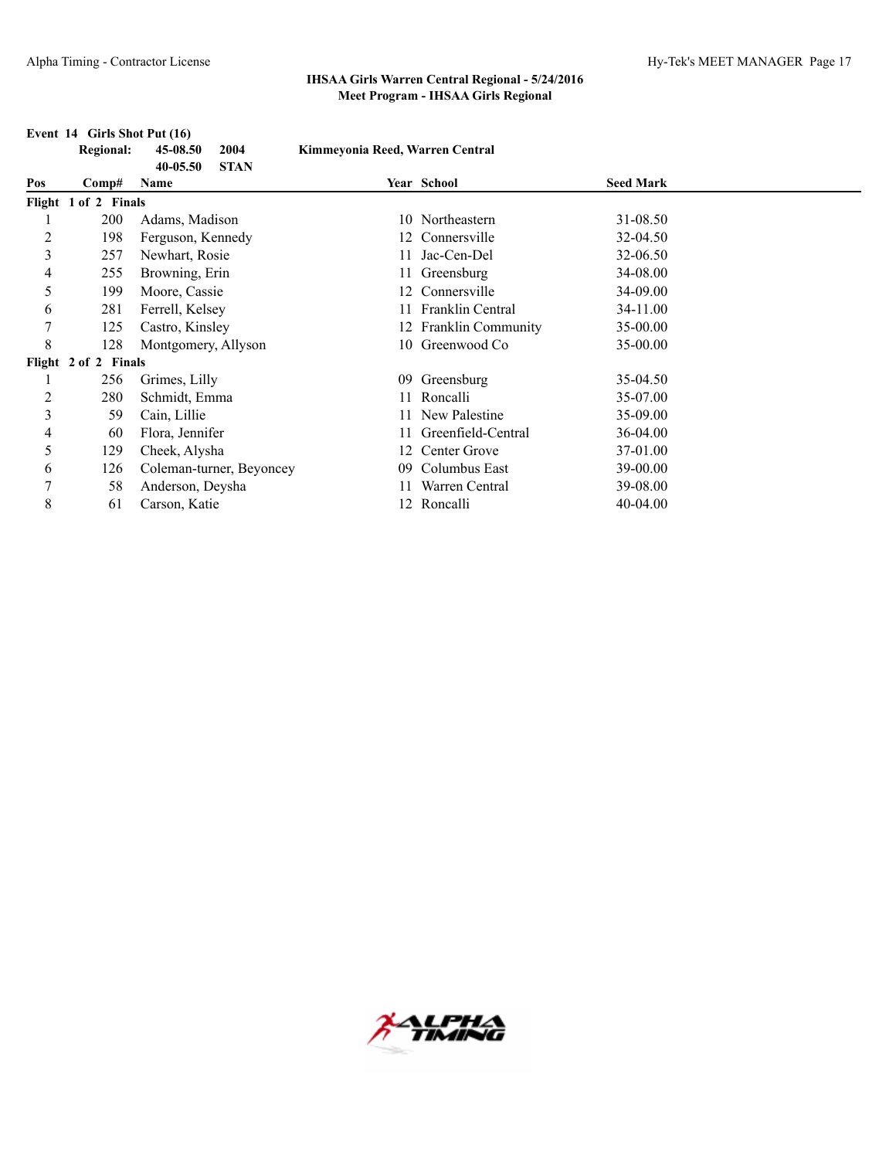|     | <b>Regional:</b>     | 45-08.50<br>2004<br>$40 - 05.50$<br><b>STAN</b> | Kimmeyonia Reed, Warren Central |                       |                  |  |
|-----|----------------------|-------------------------------------------------|---------------------------------|-----------------------|------------------|--|
| Pos | Comp#                | Name                                            |                                 | Year School           | <b>Seed Mark</b> |  |
|     | Flight 1 of 2 Finals |                                                 |                                 |                       |                  |  |
|     | 200                  | Adams, Madison                                  |                                 | 10 Northeastern       | 31-08.50         |  |
| 2   | 198                  | Ferguson, Kennedy                               |                                 | 12 Connersville       | 32-04.50         |  |
| 3   | 257                  | Newhart, Rosie                                  |                                 | Jac-Cen-Del           | 32-06.50         |  |
| 4   | 255                  | Browning, Erin                                  |                                 | Greensburg            | 34-08.00         |  |
| 5   | 199                  | Moore, Cassie                                   | 12                              | Connersville          | 34-09.00         |  |
| 6   | 281                  | Ferrell, Kelsey                                 |                                 | 11 Franklin Central   | 34-11.00         |  |
| 7   | 125                  | Castro, Kinsley                                 |                                 | 12 Franklin Community | 35-00.00         |  |
| 8   | 128                  | Montgomery, Allyson                             |                                 | 10 Greenwood Co       | 35-00.00         |  |
|     | Flight 2 of 2 Finals |                                                 |                                 |                       |                  |  |
|     | 256                  | Grimes, Lilly                                   | 09                              | Greensburg            | 35-04.50         |  |
| 2   | 280                  | Schmidt, Emma                                   |                                 | 11 Roncalli           | 35-07.00         |  |
| 3   | 59                   | Cain, Lillie                                    |                                 | New Palestine         | 35-09.00         |  |
| 4   | 60                   | Flora, Jennifer                                 |                                 | Greenfield-Central    | 36-04.00         |  |
| 5   | 129                  | Cheek, Alysha                                   | 12.                             | Center Grove          | 37-01.00         |  |
| 6   | 126                  | Coleman-turner, Beyoncey                        | 09                              | Columbus East         | 39-00.00         |  |
| 7   | 58                   | Anderson, Deysha                                |                                 | Warren Central        | 39-08.00         |  |
| 8   | 61                   | Carson, Katie                                   |                                 | 12 Roncalli           | 40-04.00         |  |

#### **Event 14 Girls Shot Put (16)**

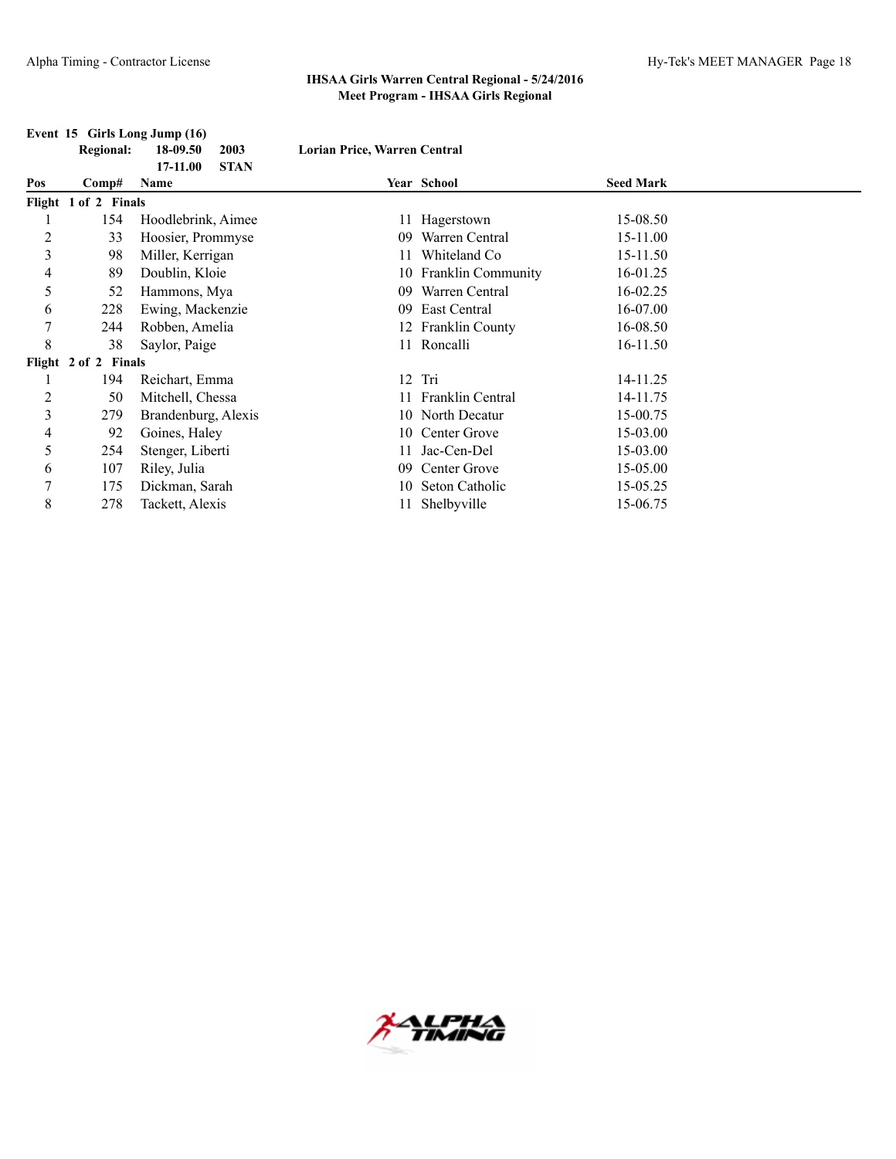# **Event 15 Girls Long Jump (16)**

**Regional: 18-09.50 2003 Lorian Price, Warren Central**

|                |                      | <b>STAN</b><br>17-11.00 |     |                    |                  |  |
|----------------|----------------------|-------------------------|-----|--------------------|------------------|--|
| Pos            | Comp#                | Name                    |     | Year School        | <b>Seed Mark</b> |  |
|                | Flight 1 of 2 Finals |                         |     |                    |                  |  |
|                | 154                  | Hoodlebrink, Aimee      |     | 11 Hagerstown      | 15-08.50         |  |
| $\overline{2}$ | 33                   | Hoosier, Prommyse       | 09  | Warren Central     | 15-11.00         |  |
| 3              | 98                   | Miller, Kerrigan        |     | Whiteland Co       | 15-11.50         |  |
| 4              | 89                   | Doublin, Kloie          | 10. | Franklin Community | 16-01.25         |  |
| 5              | 52                   | Hammons, Mya            | 09  | Warren Central     | 16-02.25         |  |
| 6              | 228                  | Ewing, Mackenzie        | 09  | East Central       | 16-07.00         |  |
| 7              | 244                  | Robben, Amelia          |     | 12 Franklin County | 16-08.50         |  |
| 8              | 38                   | Saylor, Paige           |     | 11 Roncalli        | 16-11.50         |  |
|                | Flight 2 of 2 Finals |                         |     |                    |                  |  |
|                | 194                  | Reichart, Emma          | 12  | Tri                | 14-11.25         |  |
| $\overline{c}$ | 50                   | Mitchell, Chessa        |     | Franklin Central   | 14-11.75         |  |
| 3              | 279                  | Brandenburg, Alexis     |     | 10 North Decatur   | 15-00.75         |  |
| 4              | 92                   | Goines, Haley           | 10  | Center Grove       | 15-03.00         |  |
| 5              | 254                  | Stenger, Liberti        |     | Jac-Cen-Del        | 15-03.00         |  |
| 6              | 107                  | Riley, Julia            | 09  | Center Grove       | 15-05.00         |  |
| 7              | 175                  | Dickman, Sarah          | 10  | Seton Catholic     | 15-05.25         |  |
| 8              | 278                  | Tackett, Alexis         |     | Shelbyville        | 15-06.75         |  |